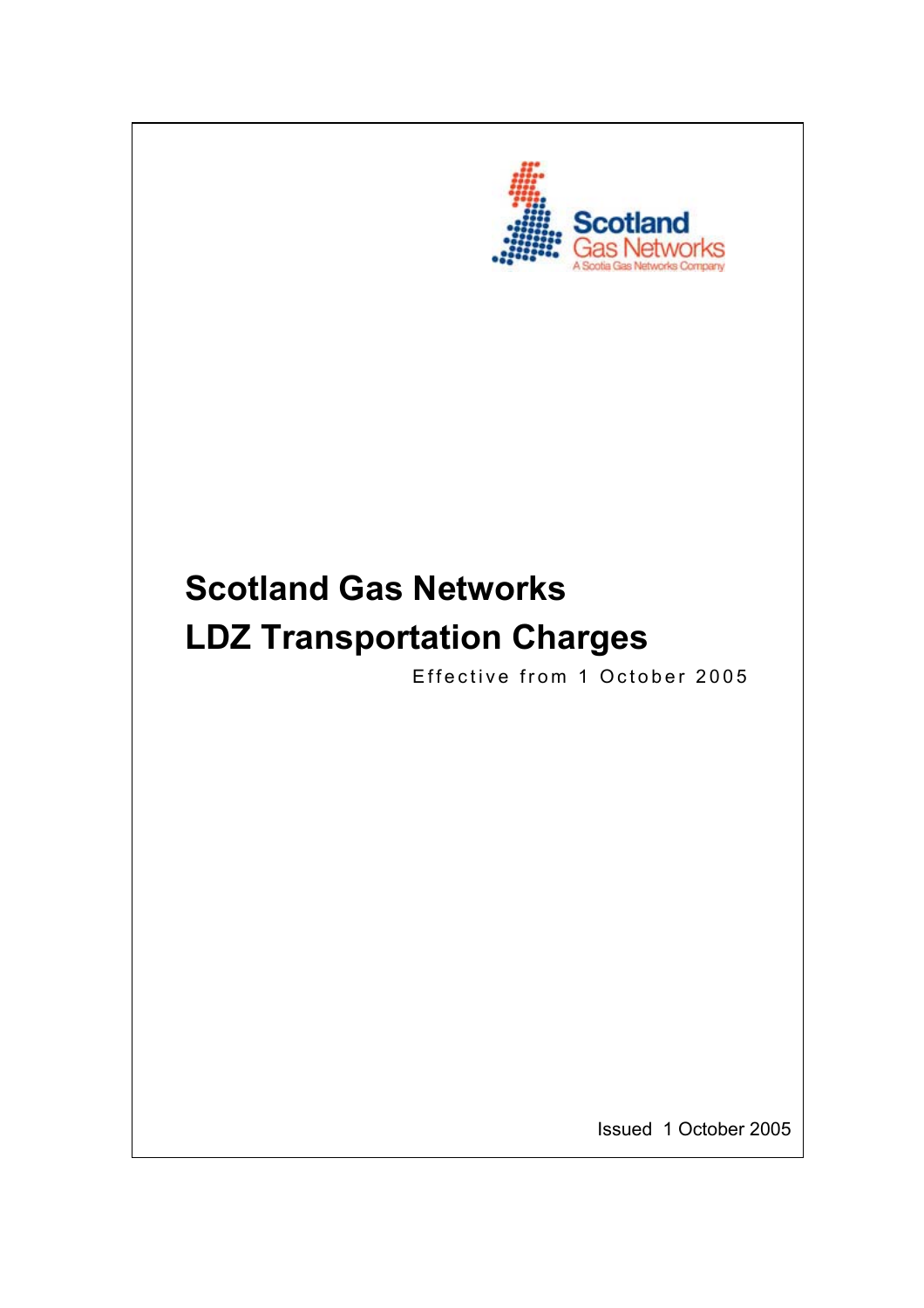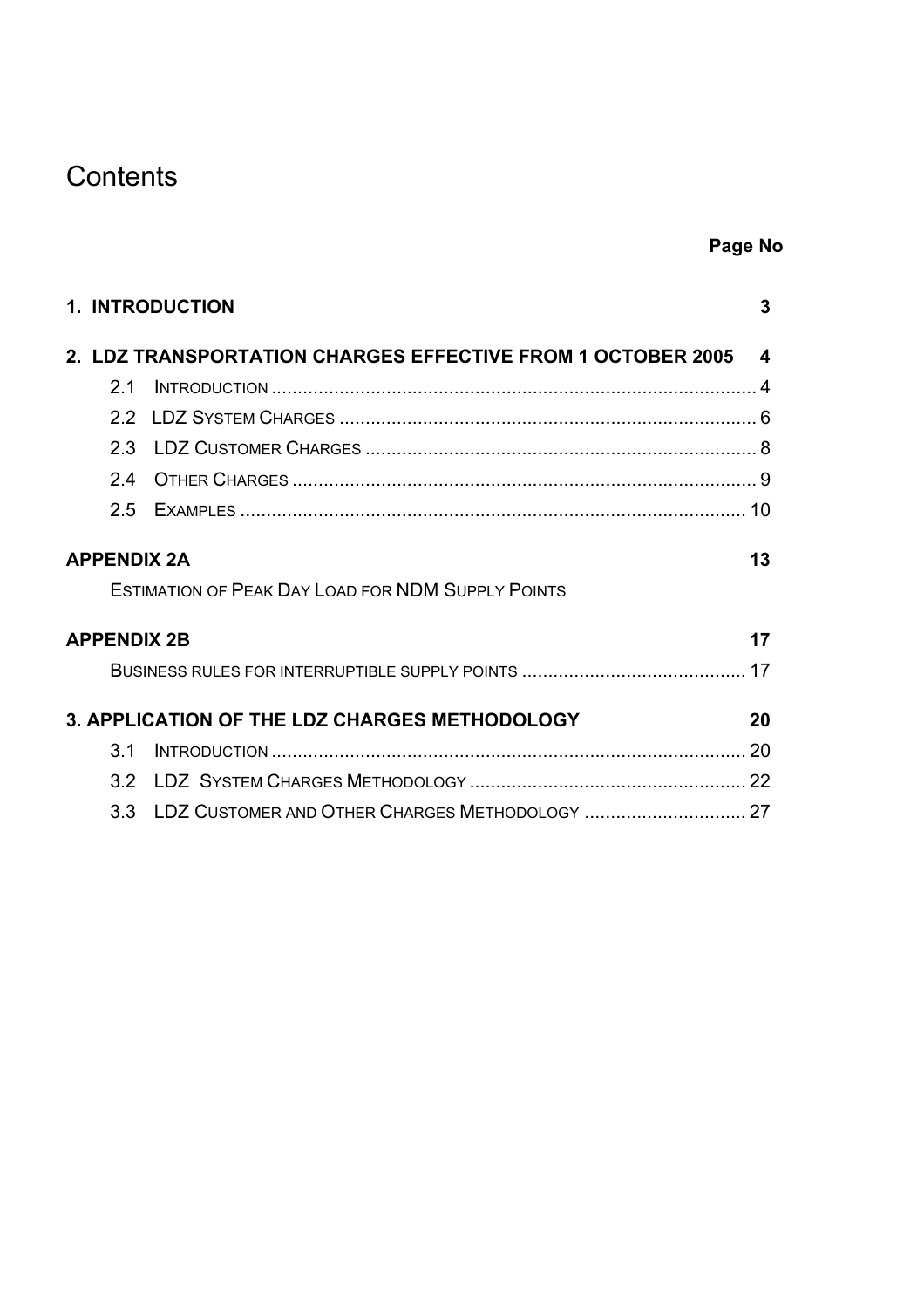# **Contents**

|                    | <b>1. INTRODUCTION</b>                                        | 3  |
|--------------------|---------------------------------------------------------------|----|
|                    | 2. LDZ TRANSPORTATION CHARGES EFFECTIVE FROM 1 OCTOBER 2005 4 |    |
| 21                 |                                                               |    |
|                    |                                                               |    |
| 2.3                |                                                               |    |
| 24                 |                                                               |    |
|                    |                                                               |    |
| <b>APPENDIX 2A</b> |                                                               | 13 |
|                    | <b>ESTIMATION OF PEAK DAY LOAD FOR NDM SUPPLY POINTS</b>      |    |
| <b>APPENDIX 2B</b> |                                                               | 17 |
|                    |                                                               |    |
|                    | 3. APPLICATION OF THE LDZ CHARGES METHODOLOGY                 | 20 |
| 3.1                |                                                               |    |
| 3.2                |                                                               |    |
|                    | 3.3 LDZ CUSTOMER AND OTHER CHARGES METHODOLOGY  27            |    |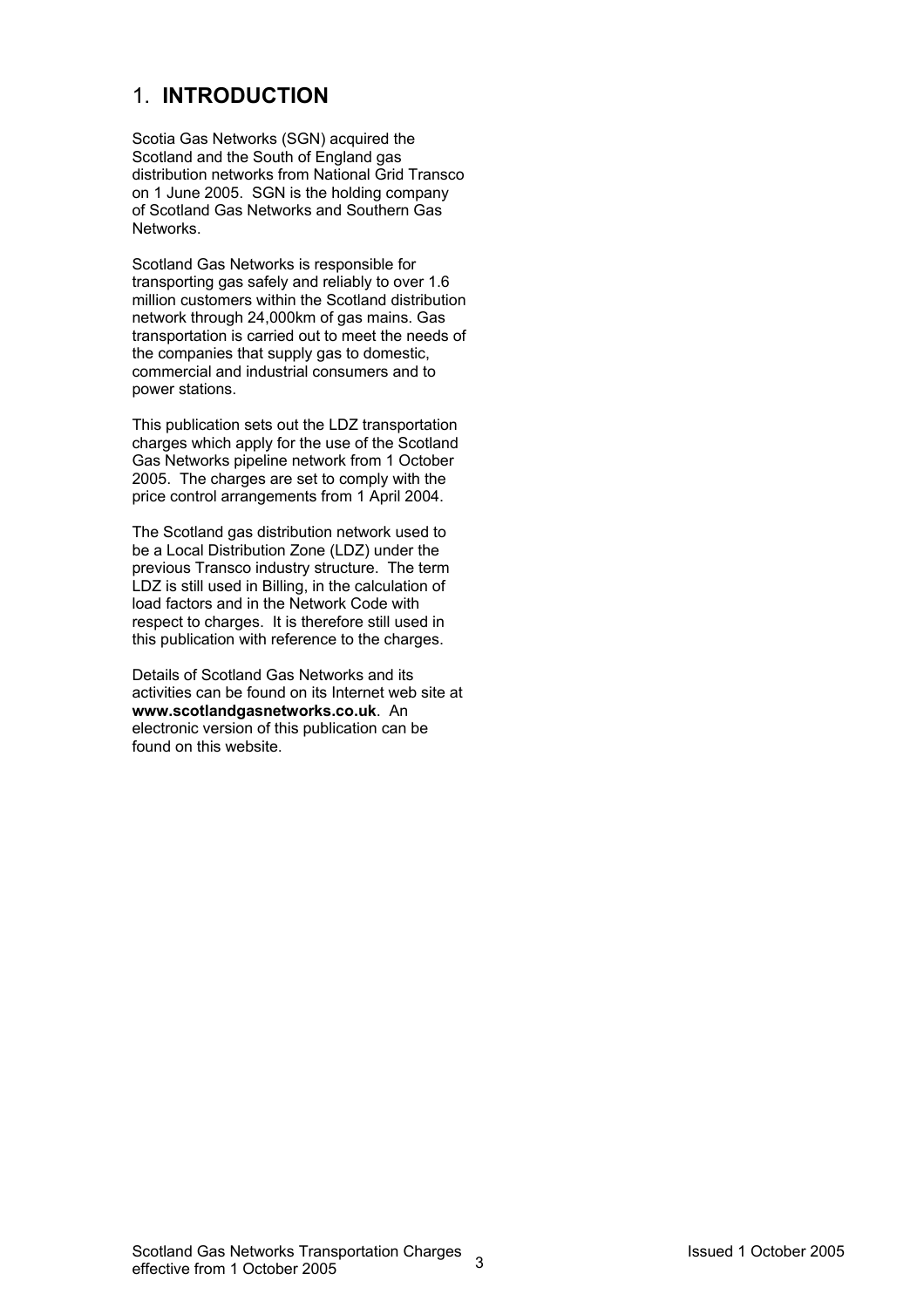## 1. **INTRODUCTION**

Scotia Gas Networks (SGN) acquired the Scotland and the South of England gas distribution networks from National Grid Transco on 1 June 2005. SGN is the holding company of Scotland Gas Networks and Southern Gas Networks.

Scotland Gas Networks is responsible for transporting gas safely and reliably to over 1.6 million customers within the Scotland distribution network through 24,000km of gas mains. Gas transportation is carried out to meet the needs of the companies that supply gas to domestic, commercial and industrial consumers and to power stations.

This publication sets out the LDZ transportation charges which apply for the use of the Scotland Gas Networks pipeline network from 1 October 2005. The charges are set to comply with the price control arrangements from 1 April 2004.

The Scotland gas distribution network used to be a Local Distribution Zone (LDZ) under the previous Transco industry structure. The term LDZ is still used in Billing, in the calculation of load factors and in the Network Code with respect to charges. It is therefore still used in this publication with reference to the charges.

Details of Scotland Gas Networks and its activities can be found on its Internet web site at **www.scotlandgasnetworks.co.uk**. An electronic version of this publication can be found on this website.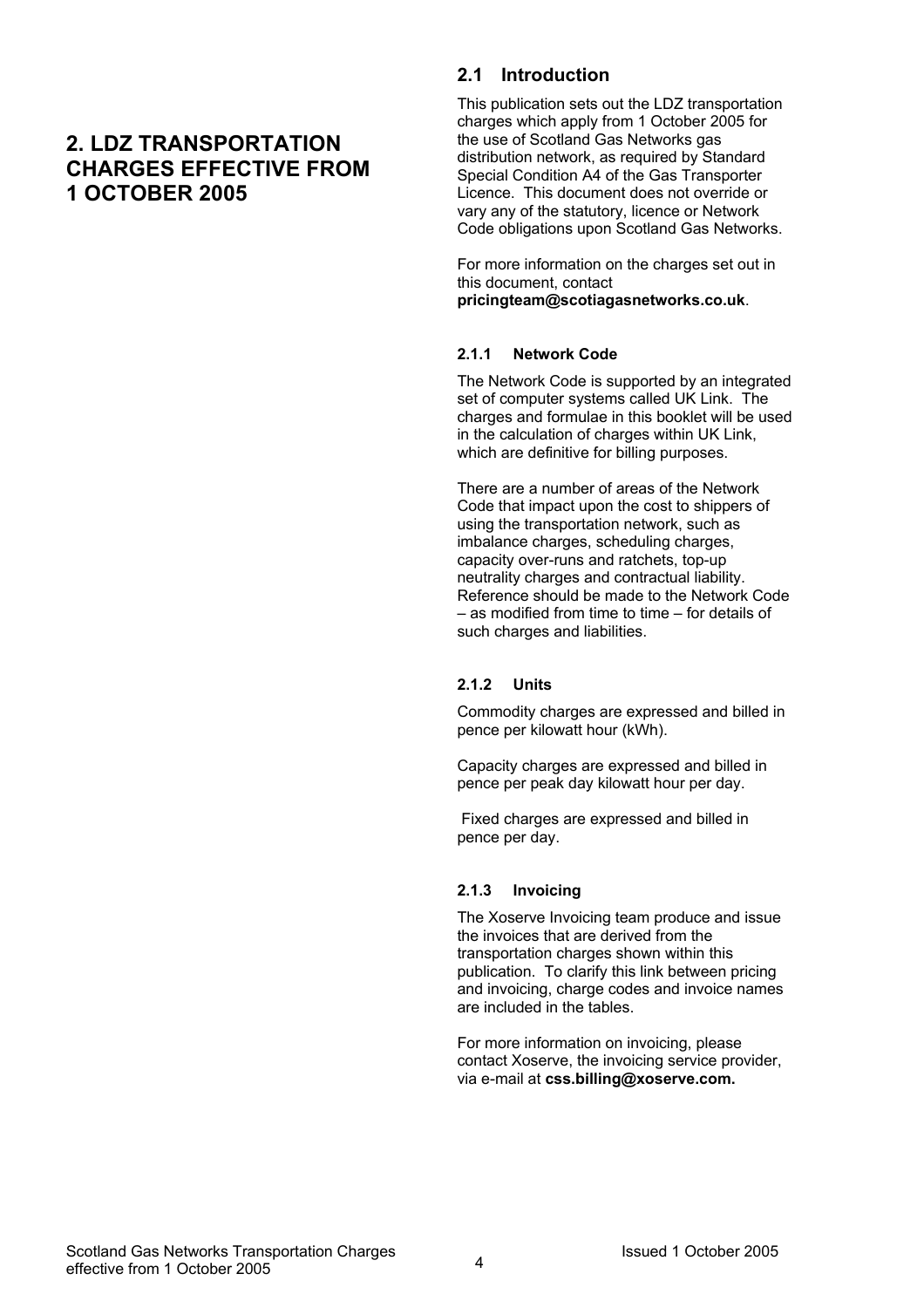## **2. LDZ TRANSPORTATION CHARGES EFFECTIVE FROM 1 OCTOBER 2005**

## **2.1 Introduction**

This publication sets out the LDZ transportation charges which apply from 1 October 2005 for the use of Scotland Gas Networks gas distribution network, as required by Standard Special Condition A4 of the Gas Transporter Licence. This document does not override or vary any of the statutory, licence or Network Code obligations upon Scotland Gas Networks.

For more information on the charges set out in this document, contact **pricingteam@scotiagasnetworks.co.uk**.

#### **2.1.1 Network Code**

The Network Code is supported by an integrated set of computer systems called UK Link. The charges and formulae in this booklet will be used in the calculation of charges within UK Link, which are definitive for billing purposes.

There are a number of areas of the Network Code that impact upon the cost to shippers of using the transportation network, such as imbalance charges, scheduling charges, capacity over-runs and ratchets, top-up neutrality charges and contractual liability. Reference should be made to the Network Code – as modified from time to time – for details of such charges and liabilities.

#### **2.1.2 Units**

Commodity charges are expressed and billed in pence per kilowatt hour (kWh).

Capacity charges are expressed and billed in pence per peak day kilowatt hour per day.

 Fixed charges are expressed and billed in pence per day.

#### **2.1.3 Invoicing**

The Xoserve Invoicing team produce and issue the invoices that are derived from the transportation charges shown within this publication. To clarify this link between pricing and invoicing, charge codes and invoice names are included in the tables.

For more information on invoicing, please contact Xoserve, the invoicing service provider, via e-mail at **css.billing@xoserve.com.**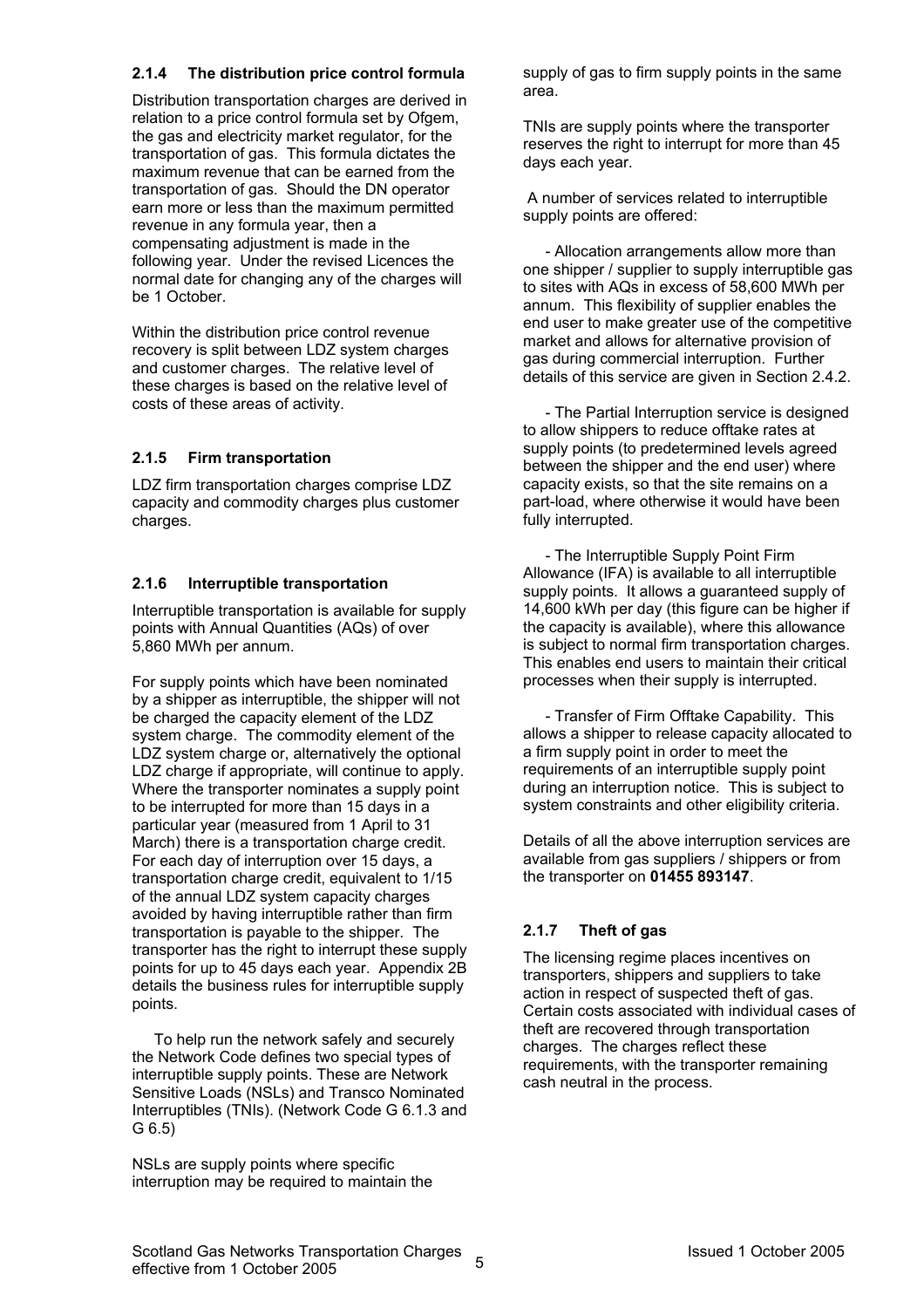## **2.1.4 The distribution price control formula**

Distribution transportation charges are derived in relation to a price control formula set by Ofgem, the gas and electricity market regulator, for the transportation of gas. This formula dictates the maximum revenue that can be earned from the transportation of gas. Should the DN operator earn more or less than the maximum permitted revenue in any formula year, then a compensating adjustment is made in the following year. Under the revised Licences the normal date for changing any of the charges will be 1 October.

Within the distribution price control revenue recovery is split between LDZ system charges and customer charges. The relative level of these charges is based on the relative level of costs of these areas of activity.

## **2.1.5 Firm transportation**

LDZ firm transportation charges comprise LDZ capacity and commodity charges plus customer charges.

## **2.1.6 Interruptible transportation**

Interruptible transportation is available for supply points with Annual Quantities (AQs) of over 5,860 MWh per annum.

For supply points which have been nominated by a shipper as interruptible, the shipper will not be charged the capacity element of the LDZ system charge. The commodity element of the LDZ system charge or, alternatively the optional LDZ charge if appropriate, will continue to apply. Where the transporter nominates a supply point to be interrupted for more than 15 days in a particular year (measured from 1 April to 31 March) there is a transportation charge credit. For each day of interruption over 15 days, a transportation charge credit, equivalent to 1/15 of the annual LDZ system capacity charges avoided by having interruptible rather than firm transportation is payable to the shipper. The transporter has the right to interrupt these supply points for up to 45 days each year. Appendix 2B details the business rules for interruptible supply points.

To help run the network safely and securely the Network Code defines two special types of interruptible supply points. These are Network Sensitive Loads (NSLs) and Transco Nominated Interruptibles (TNIs). (Network Code G 6.1.3 and G 6.5)

NSLs are supply points where specific interruption may be required to maintain the supply of gas to firm supply points in the same area.

TNIs are supply points where the transporter reserves the right to interrupt for more than 45 days each year.

 A number of services related to interruptible supply points are offered:

- Allocation arrangements allow more than one shipper / supplier to supply interruptible gas to sites with AQs in excess of 58,600 MWh per annum. This flexibility of supplier enables the end user to make greater use of the competitive market and allows for alternative provision of gas during commercial interruption. Further details of this service are given in Section 2.4.2.

- The Partial Interruption service is designed to allow shippers to reduce offtake rates at supply points (to predetermined levels agreed between the shipper and the end user) where capacity exists, so that the site remains on a part-load, where otherwise it would have been fully interrupted.

- The Interruptible Supply Point Firm Allowance (IFA) is available to all interruptible supply points. It allows a guaranteed supply of 14,600 kWh per day (this figure can be higher if the capacity is available), where this allowance is subject to normal firm transportation charges. This enables end users to maintain their critical processes when their supply is interrupted.

- Transfer of Firm Offtake Capability. This allows a shipper to release capacity allocated to a firm supply point in order to meet the requirements of an interruptible supply point during an interruption notice. This is subject to system constraints and other eligibility criteria.

Details of all the above interruption services are available from gas suppliers / shippers or from the transporter on **01455 893147**.

## **2.1.7 Theft of gas**

The licensing regime places incentives on transporters, shippers and suppliers to take action in respect of suspected theft of gas. Certain costs associated with individual cases of theft are recovered through transportation charges. The charges reflect these requirements, with the transporter remaining cash neutral in the process.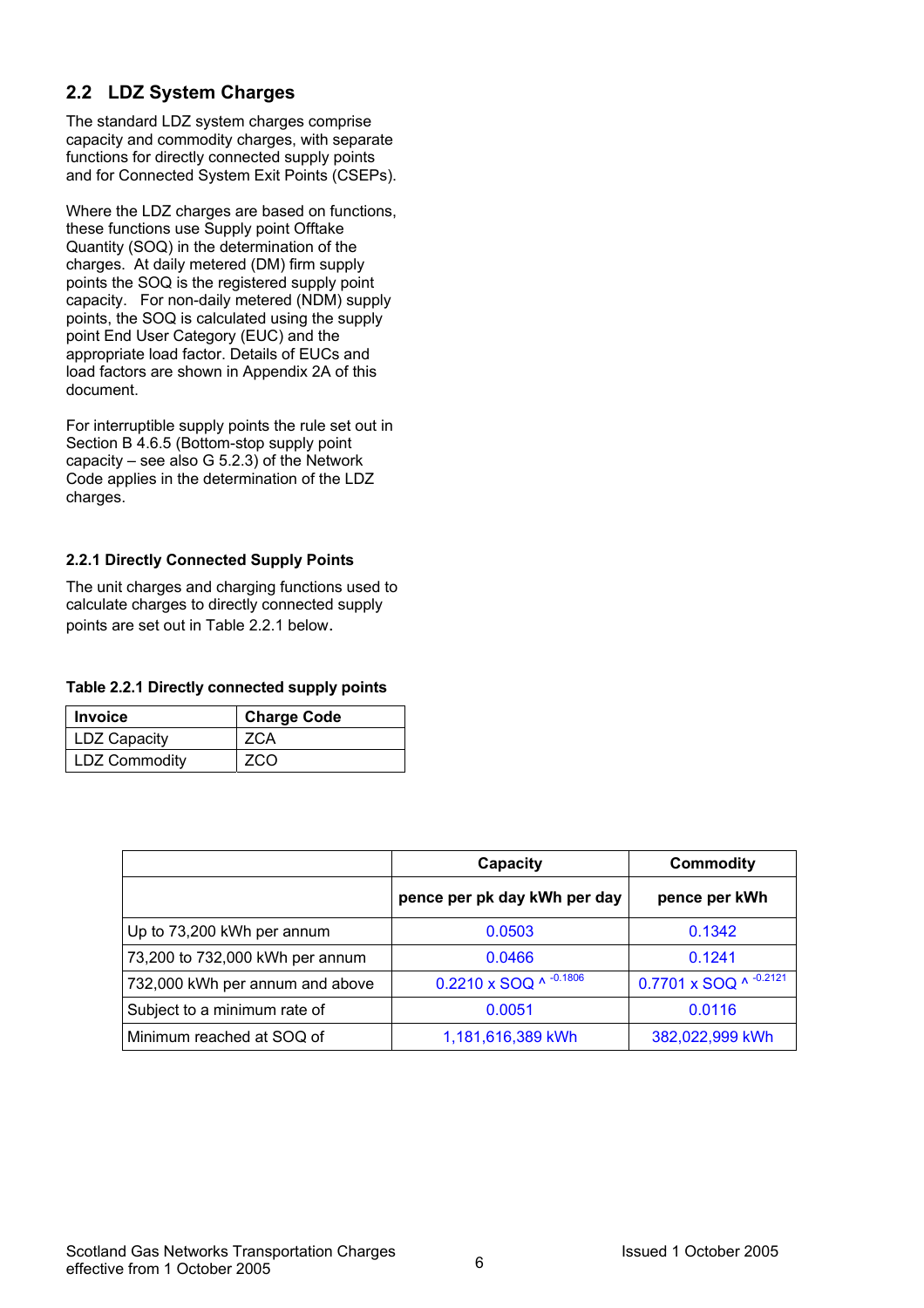## **2.2 LDZ System Charges**

The standard LDZ system charges comprise capacity and commodity charges, with separate functions for directly connected supply points and for Connected System Exit Points (CSEPs).

Where the LDZ charges are based on functions, these functions use Supply point Offtake Quantity (SOQ) in the determination of the charges. At daily metered (DM) firm supply points the SOQ is the registered supply point capacity. For non-daily metered (NDM) supply points, the SOQ is calculated using the supply point End User Category (EUC) and the appropriate load factor. Details of EUCs and load factors are shown in Appendix 2A of this document.

For interruptible supply points the rule set out in Section B 4.6.5 (Bottom-stop supply point capacity – see also G 5.2.3) of the Network Code applies in the determination of the LDZ charges.

## **2.2.1 Directly Connected Supply Points**

The unit charges and charging functions used to calculate charges to directly connected supply points are set out in Table 2.2.1 below.

#### **Table 2.2.1 Directly connected supply points**

| <b>Invoice</b> | <b>Charge Code</b> |
|----------------|--------------------|
| LDZ Capacity   | <b>ZCA</b>         |
| LDZ Commodity  | ZCO                |

|                                 | Capacity                     | <b>Commodity</b>       |
|---------------------------------|------------------------------|------------------------|
|                                 | pence per pk day kWh per day | pence per kWh          |
| Up to 73,200 kWh per annum      | 0.0503                       | 0.1342                 |
| 73,200 to 732,000 kWh per annum | 0.0466                       | 0.1241                 |
| 732,000 kWh per annum and above | 0.2210 x SOQ ^ -0.1806       | 0.7701 x SOQ ^ -0.2121 |
| Subject to a minimum rate of    | 0.0051                       | 0.0116                 |
| Minimum reached at SOQ of       | 1,181,616,389 kWh            | 382,022,999 kWh        |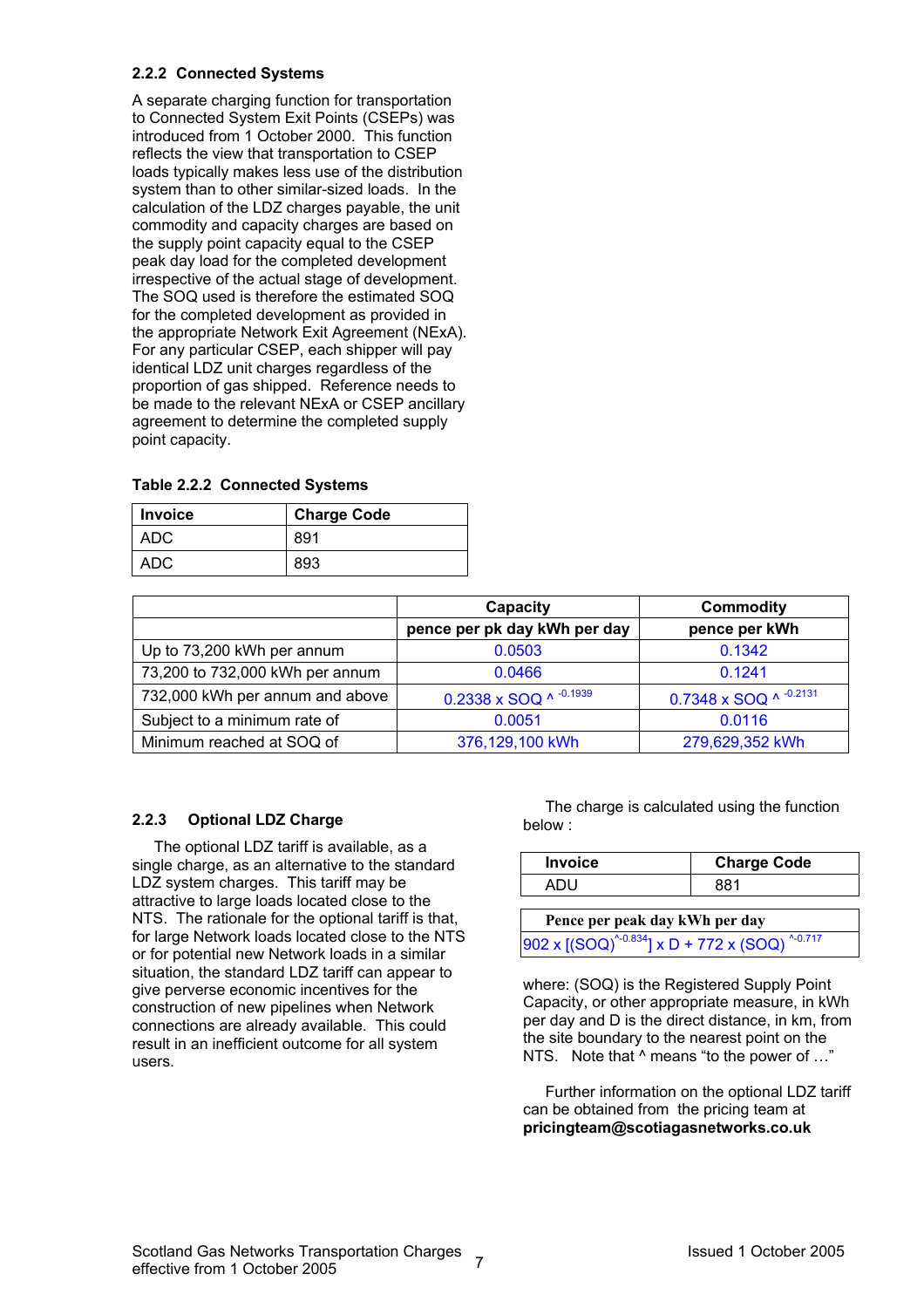#### **2.2.2 Connected Systems**

A separate charging function for transportation to Connected System Exit Points (CSEPs) was introduced from 1 October 2000. This function reflects the view that transportation to CSEP loads typically makes less use of the distribution system than to other similar-sized loads. In the calculation of the LDZ charges payable, the unit commodity and capacity charges are based on the supply point capacity equal to the CSEP peak day load for the completed development irrespective of the actual stage of development. The SOQ used is therefore the estimated SOQ for the completed development as provided in the appropriate Network Exit Agreement (NExA). For any particular CSEP, each shipper will pay identical LDZ unit charges regardless of the proportion of gas shipped. Reference needs to be made to the relevant NExA or CSEP ancillary agreement to determine the completed supply point capacity.

| <b>Invoice</b> | <b>Charge Code</b> |
|----------------|--------------------|
| ADC            | 891                |
| ADC            | 893                |

|                                 | Capacity                     | <b>Commodity</b>       |
|---------------------------------|------------------------------|------------------------|
|                                 | pence per pk day kWh per day | pence per kWh          |
| Up to 73,200 kWh per annum      | 0.0503                       | 0.1342                 |
| 73,200 to 732,000 kWh per annum | 0.0466                       | 0.1241                 |
| 732,000 kWh per annum and above | 0.2338 x SOQ ^ $-0.1939$     | 0.7348 x SOQ ^ -0.2131 |
| Subject to a minimum rate of    | 0.0051                       | 0.0116                 |
| Minimum reached at SOQ of       | 376,129,100 kWh              | 279,629,352 kWh        |

## **2.2.3 Optional LDZ Charge**

The optional LDZ tariff is available, as a single charge, as an alternative to the standard LDZ system charges. This tariff may be attractive to large loads located close to the NTS. The rationale for the optional tariff is that, for large Network loads located close to the NTS or for potential new Network loads in a similar situation, the standard LDZ tariff can appear to give perverse economic incentives for the construction of new pipelines when Network connections are already available. This could result in an inefficient outcome for all system users.

The charge is calculated using the function below :

| <b>Invoice</b> | <b>Charge Code</b> |
|----------------|--------------------|
| ור             | 881                |

| Pence per peak day kWh per day                                     |
|--------------------------------------------------------------------|
| $902 \times [(SOQ)^{40.834}] \times D + 772 \times (SOQ)^{40.717}$ |

where: (SOQ) is the Registered Supply Point Capacity, or other appropriate measure, in kWh per day and D is the direct distance, in km, from the site boundary to the nearest point on the NTS. Note that  $^{\wedge}$  means "to the power of ..."

Further information on the optional LDZ tariff can be obtained from the pricing team at **pricingteam@scotiagasnetworks.co.uk**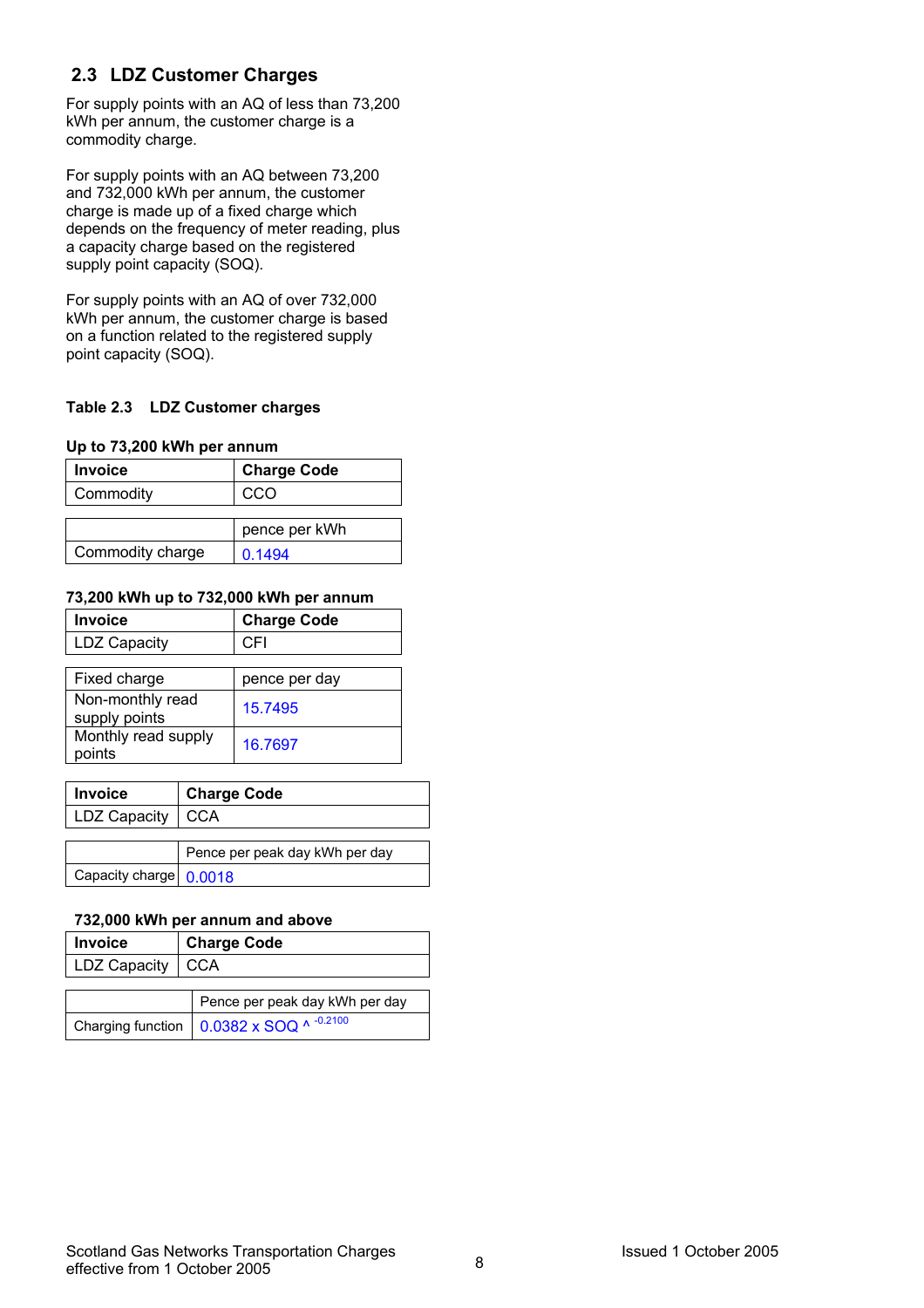## **2.3 LDZ Customer Charges**

For supply points with an AQ of less than 73,200 kWh per annum, the customer charge is a commodity charge.

For supply points with an AQ between 73,200 and 732,000 kWh per annum, the customer charge is made up of a fixed charge which depends on the frequency of meter reading, plus a capacity charge based on the registered supply point capacity (SOQ).

For supply points with an AQ of over 732,000 kWh per annum, the customer charge is based on a function related to the registered supply point capacity (SOQ).

#### **Table 2.3 LDZ Customer charges**

#### **Up to 73,200 kWh per annum**

| <b>Invoice</b>   | <b>Charge Code</b> |
|------------------|--------------------|
| Commodity        | CCO                |
|                  |                    |
|                  | pence per kWh      |
| Commodity charge | 0.1494             |

#### **73,200 kWh up to 732,000 kWh per annum**

| <b>Invoice</b>                    | <b>Charge Code</b> |
|-----------------------------------|--------------------|
| <b>LDZ Capacity</b>               | CFI                |
|                                   |                    |
| Fixed charge                      | pence per day      |
| Non-monthly read<br>supply points | 15.7495            |
| Monthly read supply<br>points     | 16.7697            |

| <b>Invoice</b>         | <b>Charge Code</b>             |  |
|------------------------|--------------------------------|--|
| LDZ Capacity   CCA     |                                |  |
|                        |                                |  |
|                        | Pence per peak day kWh per day |  |
| Capacity charge 0.0018 |                                |  |

#### **732,000 kWh per annum and above**

| <b>Invoice</b>     | <b>Charge Code</b>               |
|--------------------|----------------------------------|
| LDZ Capacity   CCA |                                  |
|                    |                                  |
|                    | Dongo por pools doubleth por dou |

| Pence per peak day kWh per day                                  |
|-----------------------------------------------------------------|
| Charging function $\Big  0.0382 \times SOQ^{A^{-0.2100}} \Big $ |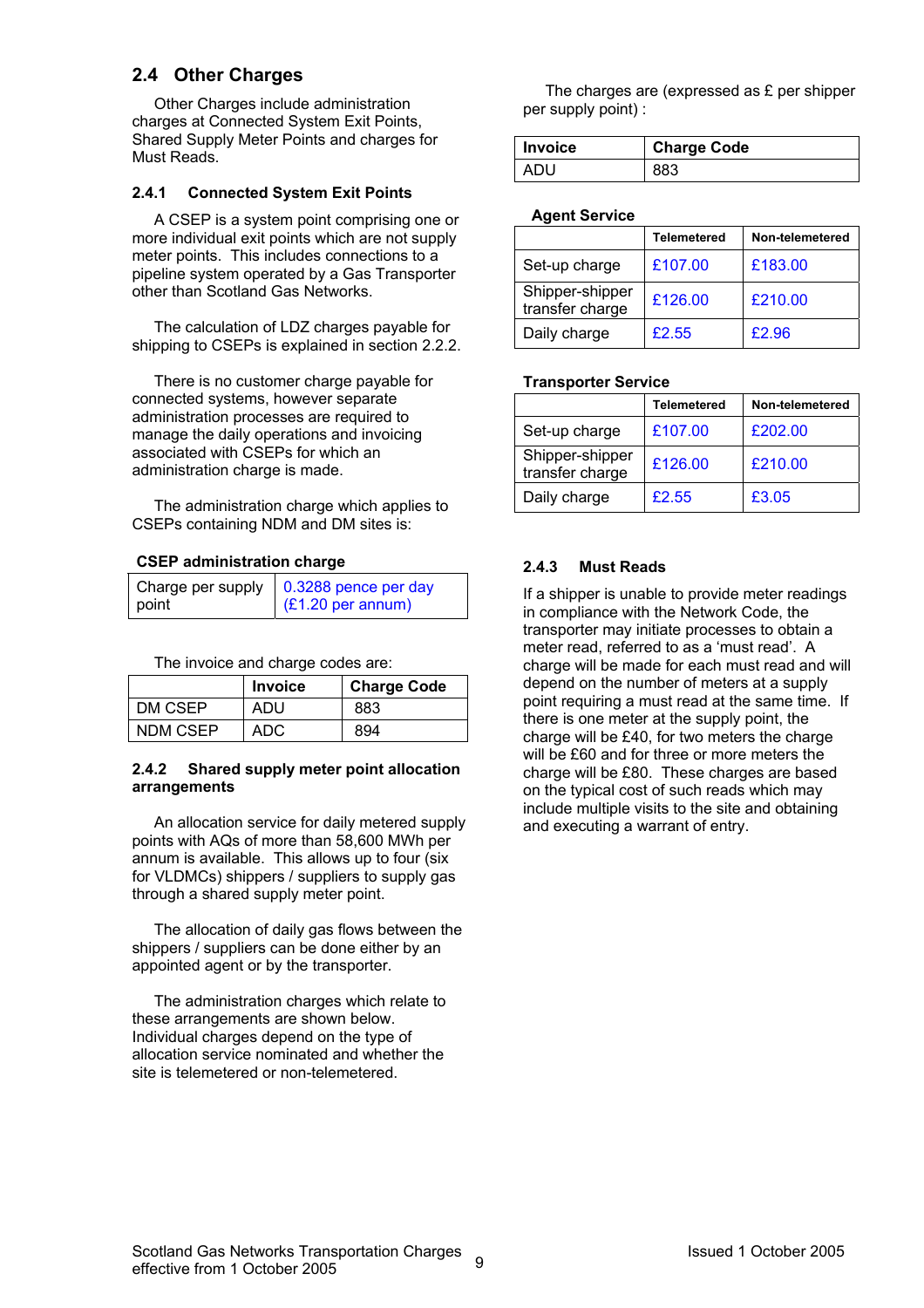## **2.4 Other Charges**

Other Charges include administration charges at Connected System Exit Points, Shared Supply Meter Points and charges for Must Reads.

#### **2.4.1 Connected System Exit Points**

A CSEP is a system point comprising one or more individual exit points which are not supply meter points. This includes connections to a pipeline system operated by a Gas Transporter other than Scotland Gas Networks.

The calculation of LDZ charges payable for shipping to CSEPs is explained in section 2.2.2.

There is no customer charge payable for connected systems, however separate administration processes are required to manage the daily operations and invoicing associated with CSEPs for which an administration charge is made.

The administration charge which applies to CSEPs containing NDM and DM sites is:

#### **CSEP administration charge**

|       | Charge per supply $\vert$ 0.3288 pence per day |
|-------|------------------------------------------------|
| point | $(E1.20 \text{ per annum})$                    |

The invoice and charge codes are:

|          | <b>Invoice</b> | <b>Charge Code</b> |
|----------|----------------|--------------------|
| DM CSEP  | ADU            | 883                |
| NDM CSEP | ADC            | 894                |

#### **2.4.2 Shared supply meter point allocation arrangements**

An allocation service for daily metered supply points with AQs of more than 58,600 MWh per annum is available. This allows up to four (six for VLDMCs) shippers / suppliers to supply gas through a shared supply meter point.

The allocation of daily gas flows between the shippers / suppliers can be done either by an appointed agent or by the transporter.

The administration charges which relate to these arrangements are shown below. Individual charges depend on the type of allocation service nominated and whether the site is telemetered or non-telemetered.

The charges are (expressed as £ per shipper per supply point) :

| l Invoice | <b>Charge Code</b> |
|-----------|--------------------|
| ADU       | 883                |

#### **Agent Service**

|                                    | Telemetered | Non-telemetered |
|------------------------------------|-------------|-----------------|
| Set-up charge                      | £107.00     | £183.00         |
| Shipper-shipper<br>transfer charge | £126.00     | £210.00         |
| Daily charge                       | £2.55       | £2.96           |

#### **Transporter Service**

|                                    | Telemetered | Non-telemetered |
|------------------------------------|-------------|-----------------|
| Set-up charge                      | £107.00     | £202.00         |
| Shipper-shipper<br>transfer charge | £126.00     | £210.00         |
| Daily charge                       | £2.55       | £3.05           |

#### **2.4.3 Must Reads**

If a shipper is unable to provide meter readings in compliance with the Network Code, the transporter may initiate processes to obtain a meter read, referred to as a 'must read'. A charge will be made for each must read and will depend on the number of meters at a supply point requiring a must read at the same time. If there is one meter at the supply point, the charge will be £40, for two meters the charge will be £60 and for three or more meters the charge will be £80. These charges are based on the typical cost of such reads which may include multiple visits to the site and obtaining and executing a warrant of entry.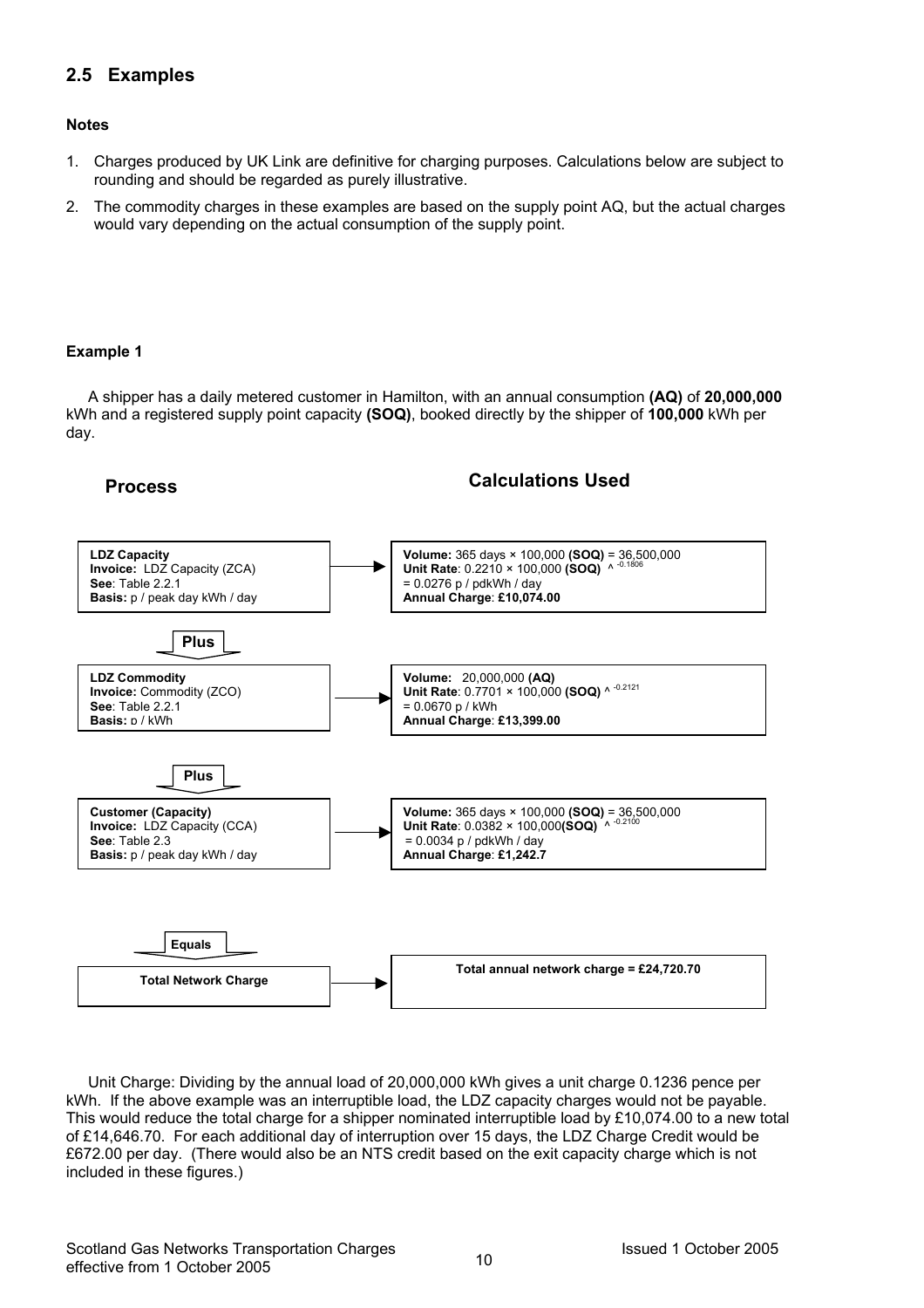## **2.5 Examples**

#### **Notes**

- 1. Charges produced by UK Link are definitive for charging purposes. Calculations below are subject to rounding and should be regarded as purely illustrative.
- 2. The commodity charges in these examples are based on the supply point AQ, but the actual charges would vary depending on the actual consumption of the supply point.

#### **Example 1**

A shipper has a daily metered customer in Hamilton, with an annual consumption **(AQ)** of **20,000,000** kWh and a registered supply point capacity **(SOQ)**, booked directly by the shipper of **100,000** kWh per day.

## **Process Calculations Used**



Unit Charge: Dividing by the annual load of 20,000,000 kWh gives a unit charge 0.1236 pence per kWh. If the above example was an interruptible load, the LDZ capacity charges would not be payable. This would reduce the total charge for a shipper nominated interruptible load by £10,074.00 to a new total of £14,646.70. For each additional day of interruption over 15 days, the LDZ Charge Credit would be £672.00 per day. (There would also be an NTS credit based on the exit capacity charge which is not included in these figures.)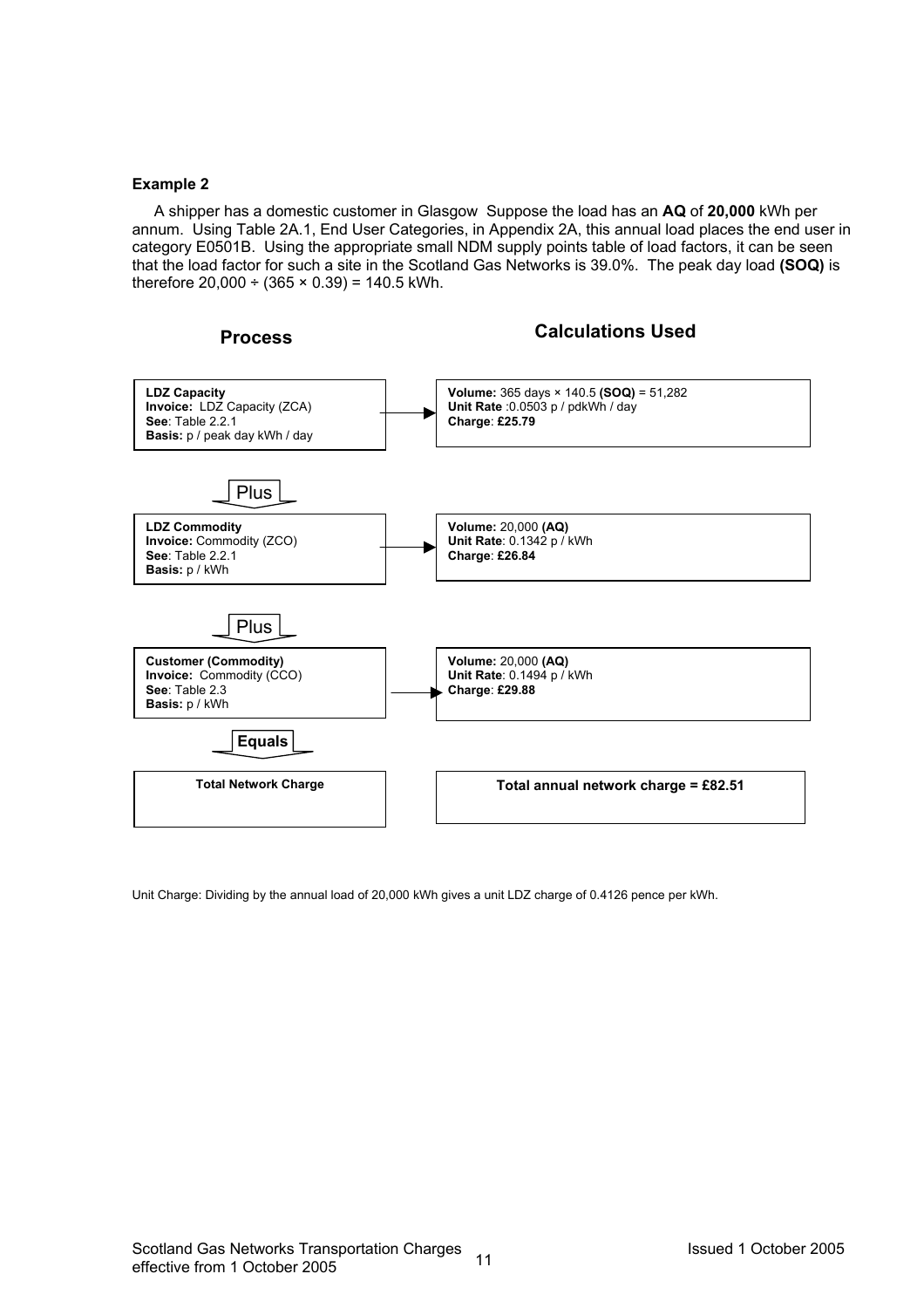#### **Example 2**

A shipper has a domestic customer in Glasgow Suppose the load has an **AQ** of **20,000** kWh per annum. Using Table 2A.1, End User Categories, in Appendix 2A, this annual load places the end user in category E0501B. Using the appropriate small NDM supply points table of load factors, it can be seen that the load factor for such a site in the Scotland Gas Networks is 39.0%. The peak day load **(SOQ)** is therefore  $20.000 \div (365 \times 0.39) = 140.5$  kWh.



Unit Charge: Dividing by the annual load of 20,000 kWh gives a unit LDZ charge of 0.4126 pence per kWh.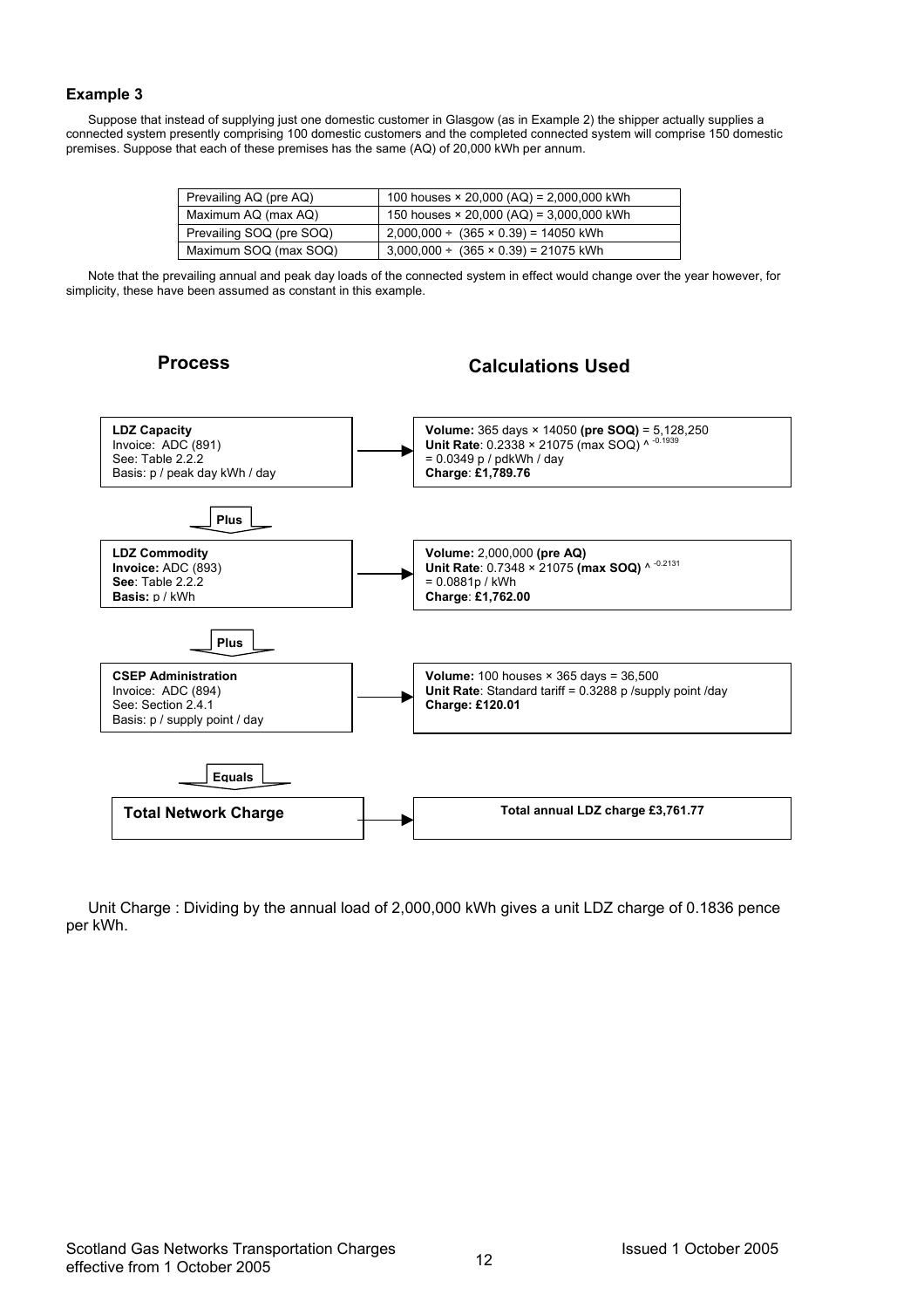#### **Example 3**

Suppose that instead of supplying just one domestic customer in Glasgow (as in Example 2) the shipper actually supplies a connected system presently comprising 100 domestic customers and the completed connected system will comprise 150 domestic premises. Suppose that each of these premises has the same (AQ) of 20,000 kWh per annum.

| 100 houses $\times$ 20,000 (AQ) = 2,000,000 kWh |
|-------------------------------------------------|
| 150 houses $\times$ 20,000 (AQ) = 3,000,000 kWh |
| $2,000,000 \div (365 \times 0.39) = 14050$ kWh  |
| $3,000,000 \div (365 \times 0.39) = 21075$ kWh  |
|                                                 |

Note that the prevailing annual and peak day loads of the connected system in effect would change over the year however, for simplicity, these have been assumed as constant in this example.

## **Process Calculations Used**



Unit Charge : Dividing by the annual load of 2,000,000 kWh gives a unit LDZ charge of 0.1836 pence per kWh.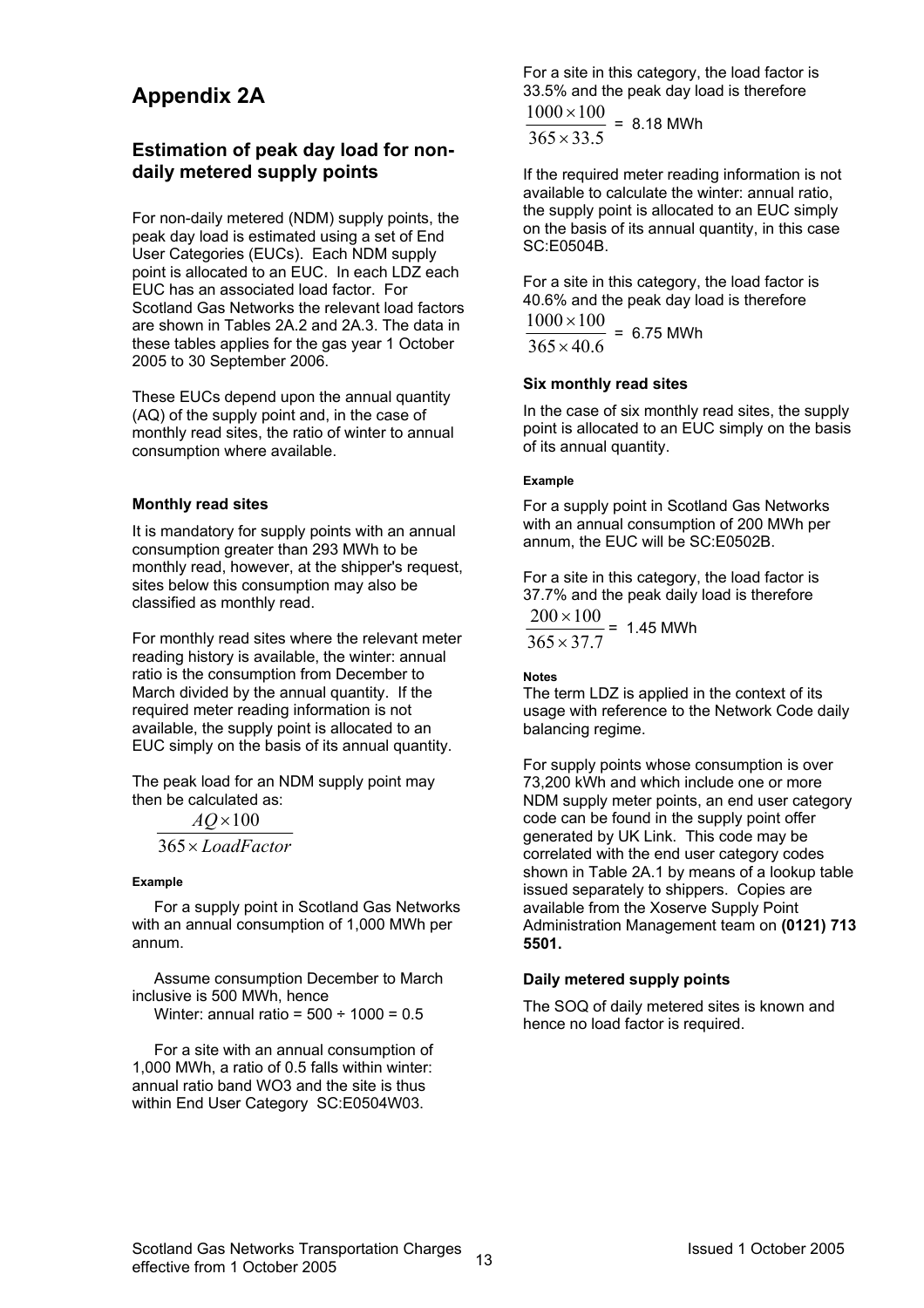## **Appendix 2A**

## **Estimation of peak day load for nondaily metered supply points**

For non-daily metered (NDM) supply points, the peak day load is estimated using a set of End User Categories (EUCs). Each NDM supply point is allocated to an EUC. In each LDZ each EUC has an associated load factor. For Scotland Gas Networks the relevant load factors are shown in Tables 2A.2 and 2A.3. The data in these tables applies for the gas year 1 October 2005 to 30 September 2006.

These EUCs depend upon the annual quantity (AQ) of the supply point and, in the case of monthly read sites, the ratio of winter to annual consumption where available.

#### **Monthly read sites**

It is mandatory for supply points with an annual consumption greater than 293 MWh to be monthly read, however, at the shipper's request, sites below this consumption may also be classified as monthly read.

For monthly read sites where the relevant meter reading history is available, the winter: annual ratio is the consumption from December to March divided by the annual quantity. If the required meter reading information is not available, the supply point is allocated to an EUC simply on the basis of its annual quantity.

The peak load for an NDM supply point may then be calculated as:

*LoadFactor* × 365 *AQ* × 100

#### **Example**

For a supply point in Scotland Gas Networks with an annual consumption of 1,000 MWh per annum.

Assume consumption December to March inclusive is 500 MWh, hence Winter: annual ratio =  $500 \div 1000 = 0.5$ 

For a site with an annual consumption of 1,000 MWh, a ratio of 0.5 falls within winter: annual ratio band WO3 and the site is thus within End User Category SC:E0504W03.

For a site in this category, the load factor is 33.5% and the peak day load is therefore

 $365 \times 33.5$  $\frac{1000 \times 100}{255 \times 100} = 8.18$  MWh

If the required meter reading information is not available to calculate the winter: annual ratio, the supply point is allocated to an EUC simply on the basis of its annual quantity, in this case SC:E0504B.

For a site in this category, the load factor is 40.6% and the peak day load is therefore  $365 \times 40.6$  $1000 \times 100$ ×  $\frac{\times 100}{100}$  = 6.75 MWh

#### **Six monthly read sites**

In the case of six monthly read sites, the supply point is allocated to an EUC simply on the basis of its annual quantity.

#### **Example**

For a supply point in Scotland Gas Networks with an annual consumption of 200 MWh per annum, the EUC will be SC:E0502B.

For a site in this category, the load factor is 37.7% and the peak daily load is therefore  $365 \times 37.7$  $200 \times 100$  $\times$  $\frac{\times 100}{27}$  = 1.45 MWh

#### **Notes**

The term LDZ is applied in the context of its usage with reference to the Network Code daily balancing regime.

For supply points whose consumption is over 73,200 kWh and which include one or more NDM supply meter points, an end user category code can be found in the supply point offer generated by UK Link. This code may be correlated with the end user category codes shown in Table 2A.1 by means of a lookup table issued separately to shippers. Copies are available from the Xoserve Supply Point Administration Management team on **(0121) 713 5501.** 

#### **Daily metered supply points**

The SOQ of daily metered sites is known and hence no load factor is required.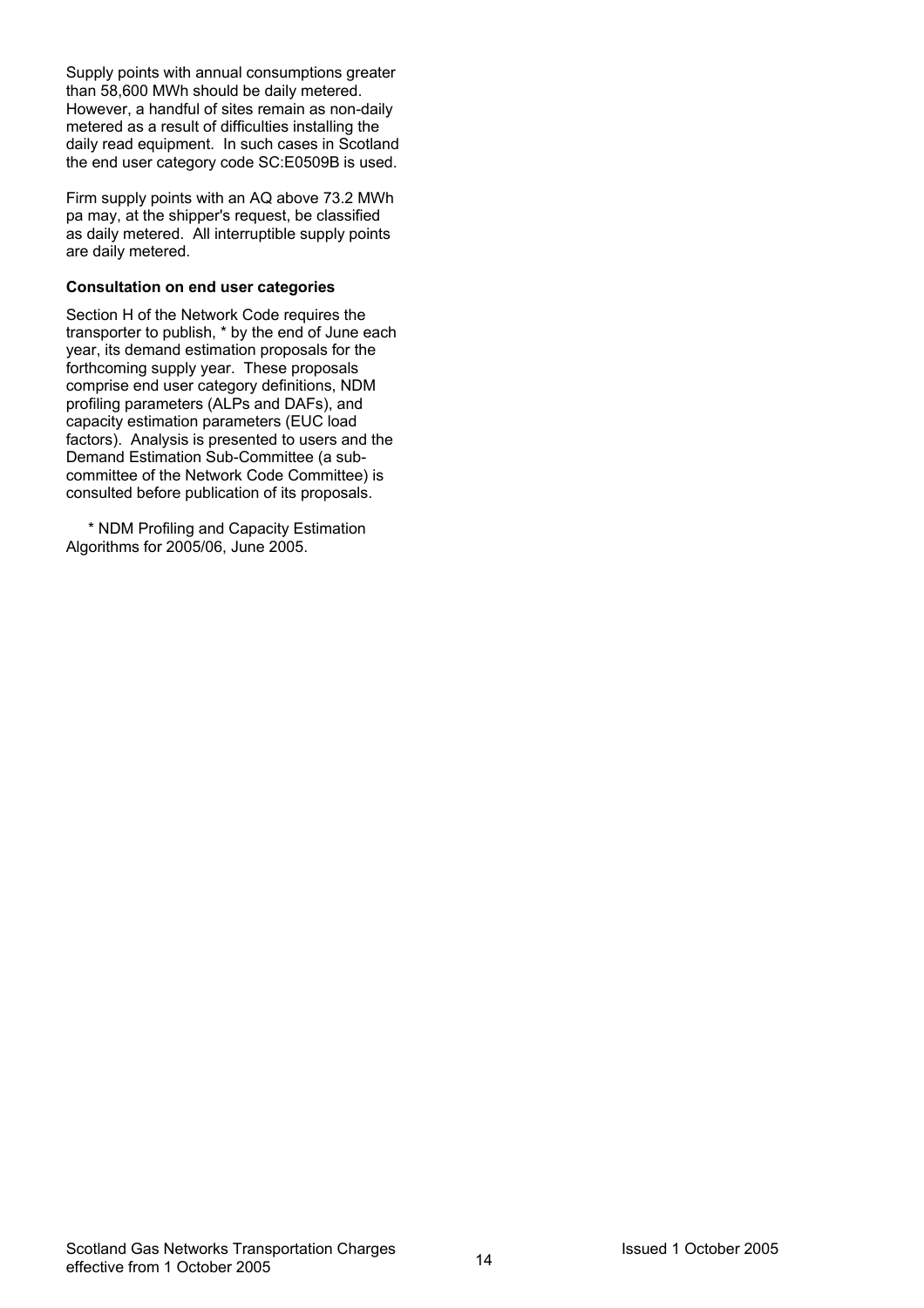Supply points with annual consumptions greater than 58,600 MWh should be daily metered. However, a handful of sites remain as non-daily metered as a result of difficulties installing the daily read equipment. In such cases in Scotland the end user category code SC:E0509B is used.

Firm supply points with an AQ above 73.2 MWh pa may, at the shipper's request, be classified as daily metered. All interruptible supply points are daily metered.

#### **Consultation on end user categories**

Section H of the Network Code requires the transporter to publish, \* by the end of June each year, its demand estimation proposals for the forthcoming supply year. These proposals comprise end user category definitions, NDM profiling parameters (ALPs and DAFs), and capacity estimation parameters (EUC load factors). Analysis is presented to users and the Demand Estimation Sub-Committee (a subcommittee of the Network Code Committee) is consulted before publication of its proposals.

\* NDM Profiling and Capacity Estimation Algorithms for 2005/06, June 2005.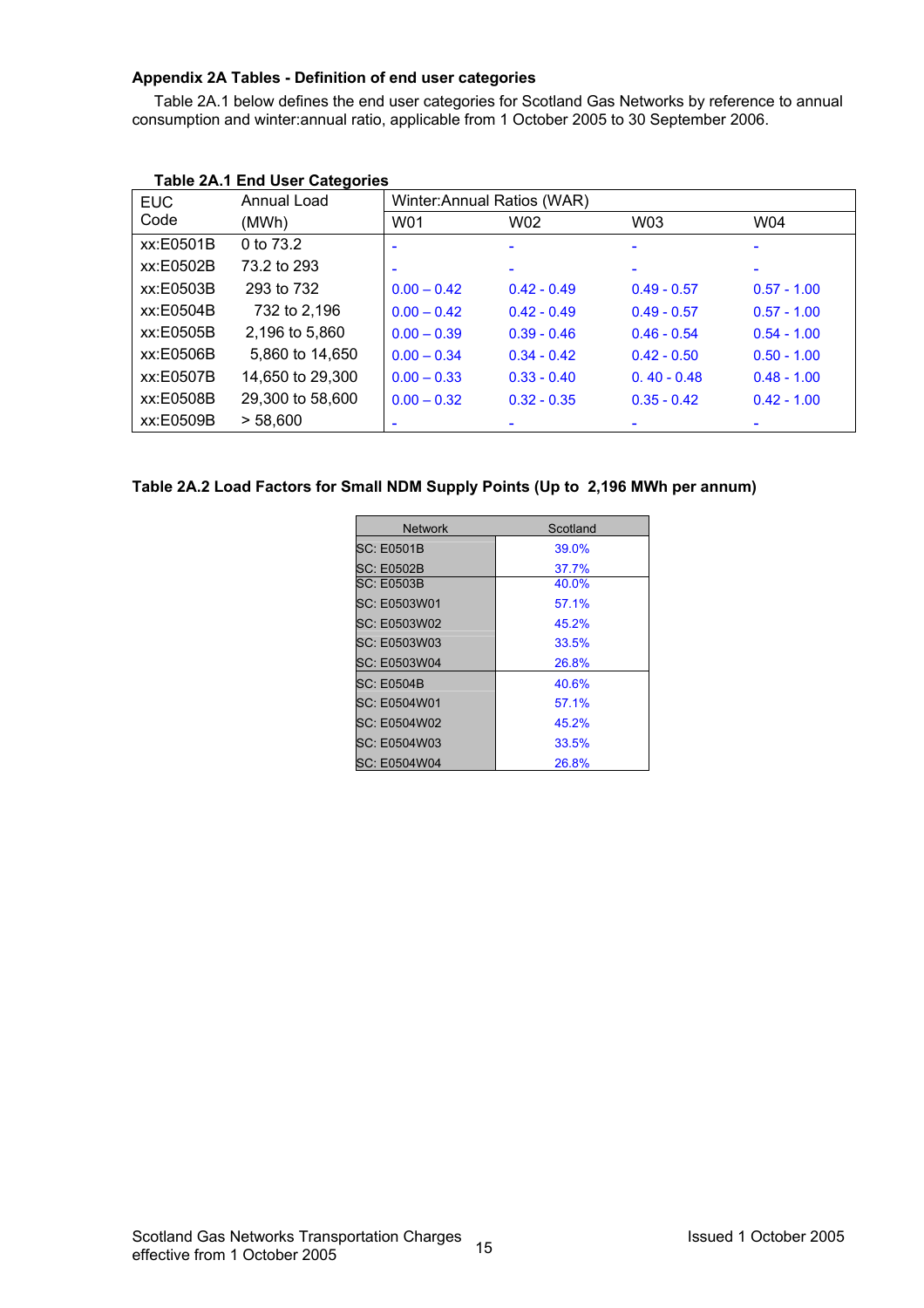#### **Appendix 2A Tables - Definition of end user categories**

Table 2A.1 below defines the end user categories for Scotland Gas Networks by reference to annual consumption and winter:annual ratio, applicable from 1 October 2005 to 30 September 2006.

| <b>EUC</b> | Annual Load      | Winter: Annual Ratios (WAR) |               |               |                          |
|------------|------------------|-----------------------------|---------------|---------------|--------------------------|
| Code       | (MWh)            | W01                         | W02           | W03           | W04                      |
| xx:E0501B  | 0 to 73.2        |                             | $\equiv$      |               | $\overline{\phantom{0}}$ |
| xx:E0502B  | 73.2 to 293      |                             |               |               |                          |
| xx:E0503B  | 293 to 732       | $0.00 - 0.42$               | $0.42 - 0.49$ | $0.49 - 0.57$ | $0.57 - 1.00$            |
| xx:E0504B  | 732 to 2,196     | $0.00 - 0.42$               | $0.42 - 0.49$ | $0.49 - 0.57$ | $0.57 - 1.00$            |
| xx:E0505B  | 2,196 to 5,860   | $0.00 - 0.39$               | $0.39 - 0.46$ | $0.46 - 0.54$ | $0.54 - 1.00$            |
| xx:E0506B  | 5,860 to 14,650  | $0.00 - 0.34$               | $0.34 - 0.42$ | $0.42 - 0.50$ | $0.50 - 1.00$            |
| xx:E0507B  | 14,650 to 29,300 | $0.00 - 0.33$               | $0.33 - 0.40$ | $0.40 - 0.48$ | $0.48 - 1.00$            |
| xx:E0508B  | 29,300 to 58,600 | $0.00 - 0.32$               | $0.32 - 0.35$ | $0.35 - 0.42$ | $0.42 - 1.00$            |
| xx:E0509B  | > 58,600         |                             |               |               |                          |

### **Table 2A.1 End User Categories**

#### **Table 2A.2 Load Factors for Small NDM Supply Points (Up to 2,196 MWh per annum)**

| <b>Network</b>      | Scotland |
|---------------------|----------|
| <b>SC: E0501B</b>   | 39.0%    |
| SC: E0502B          | 37.7%    |
| <b>SC: E0503B</b>   | 40.0%    |
| <b>SC: E0503W01</b> | 57.1%    |
| <b>SC: E0503W02</b> | 45.2%    |
| <b>SC: E0503W03</b> | 33.5%    |
| <b>SC: E0503W04</b> | 26.8%    |
| <b>SC: E0504B</b>   | 40.6%    |
| SC: E0504W01        | 57.1%    |
| <b>SC: E0504W02</b> | 45.2%    |
| SC: E0504W03        | 33.5%    |
| <b>SC: E0504W04</b> | 26.8%    |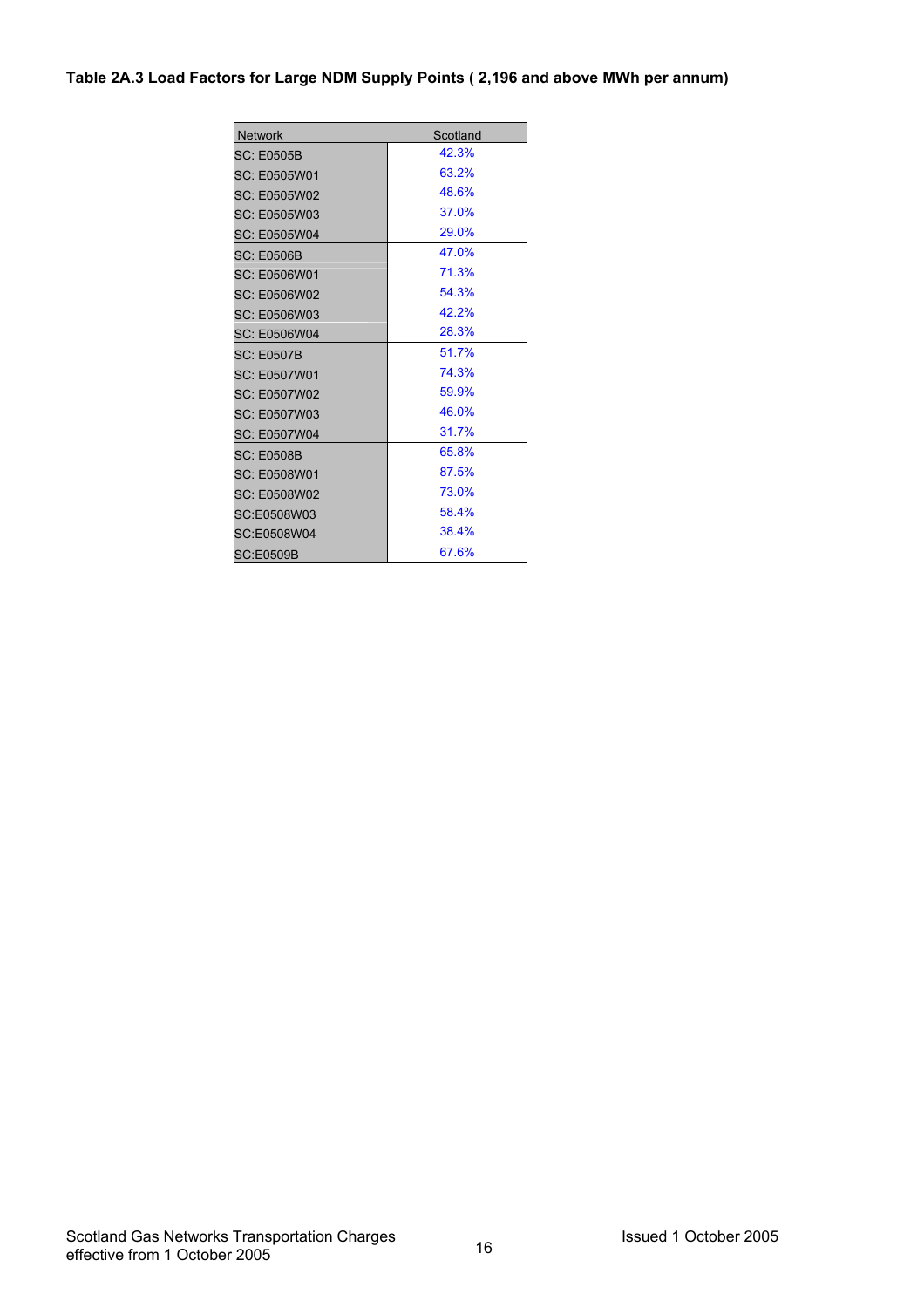#### **Table 2A.3 Load Factors for Large NDM Supply Points ( 2,196 and above MWh per annum)**

| <b>Network</b>      | Scotland |
|---------------------|----------|
| SC: E0505B          | 42.3%    |
| SC: E0505W01        | 63.2%    |
| <b>SC: E0505W02</b> | 48.6%    |
| SC: E0505W03        | 37.0%    |
| SC: E0505W04        | 29.0%    |
| SC: E0506B          | 47.0%    |
| SC: E0506W01        | 71.3%    |
| SC: E0506W02        | 54.3%    |
| SC: E0506W03        | 42.2%    |
| SC: E0506W04        | 28.3%    |
| SC: E0507B          | 51.7%    |
| <b>SC: E0507W01</b> | 74.3%    |
| SC: E0507W02        | 59.9%    |
| SC: E0507W03        | 46.0%    |
| SC: E0507W04        | 31.7%    |
| <b>SC: E0508B</b>   | 65.8%    |
| <b>SC: E0508W01</b> | 87.5%    |
| SC: E0508W02        | 73.0%    |
| SC:E0508W03         | 58.4%    |
| SC:E0508W04         | 38.4%    |
| <b>SC:E0509B</b>    | 67.6%    |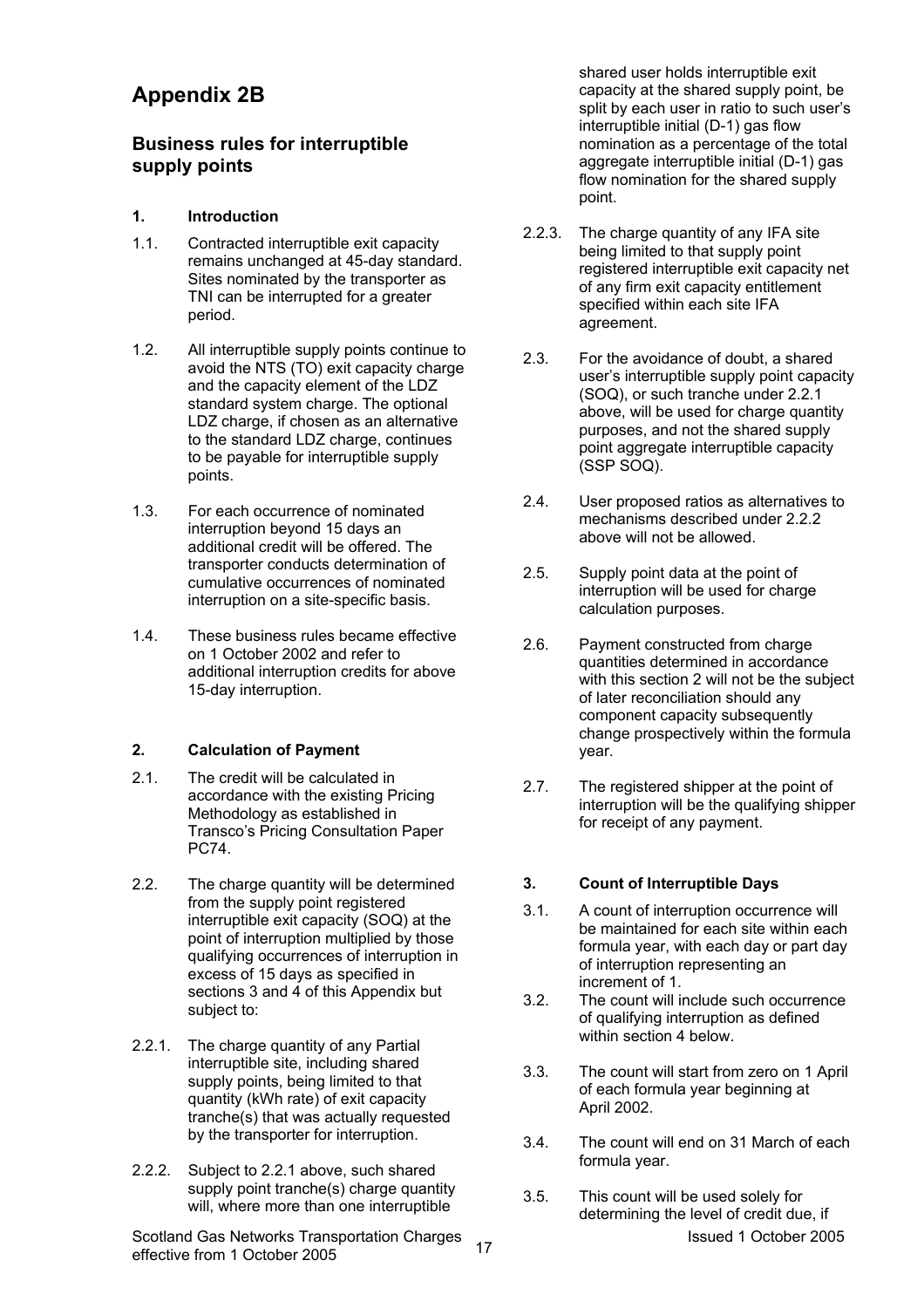## **Appendix 2B**

## **Business rules for interruptible supply points**

## **1. Introduction**

- 1.1. Contracted interruptible exit capacity remains unchanged at 45-day standard. Sites nominated by the transporter as TNI can be interrupted for a greater period.
- 1.2. All interruptible supply points continue to avoid the NTS (TO) exit capacity charge and the capacity element of the LDZ standard system charge. The optional LDZ charge, if chosen as an alternative to the standard LDZ charge, continues to be payable for interruptible supply points.
- 1.3. For each occurrence of nominated interruption beyond 15 days an additional credit will be offered. The transporter conducts determination of cumulative occurrences of nominated interruption on a site-specific basis.
- 1.4. These business rules became effective on 1 October 2002 and refer to additional interruption credits for above 15-day interruption.

## **2. Calculation of Payment**

- 2.1. The credit will be calculated in accordance with the existing Pricing Methodology as established in Transco's Pricing Consultation Paper PC74.
- 2.2. The charge quantity will be determined from the supply point registered interruptible exit capacity (SOQ) at the point of interruption multiplied by those qualifying occurrences of interruption in excess of 15 days as specified in sections 3 and 4 of this Appendix but subject to:
- 2.2.1. The charge quantity of any Partial interruptible site, including shared supply points, being limited to that quantity (kWh rate) of exit capacity tranche(s) that was actually requested by the transporter for interruption.
- 2.2.2. Subject to 2.2.1 above, such shared supply point tranche(s) charge quantity will, where more than one interruptible

Scotland Gas Networks Transportation Charges 17 17 Scotland Charges 17 Scotland 1 October 2005 effective from 1 October 2005

shared user holds interruptible exit capacity at the shared supply point, be split by each user in ratio to such user's interruptible initial (D-1) gas flow nomination as a percentage of the total aggregate interruptible initial (D-1) gas flow nomination for the shared supply point.

- 2.2.3. The charge quantity of any IFA site being limited to that supply point registered interruptible exit capacity net of any firm exit capacity entitlement specified within each site IFA agreement.
- 2.3. For the avoidance of doubt, a shared user's interruptible supply point capacity (SOQ), or such tranche under 2.2.1 above, will be used for charge quantity purposes, and not the shared supply point aggregate interruptible capacity (SSP SOQ).
- 2.4. User proposed ratios as alternatives to mechanisms described under 2.2.2 above will not be allowed.
- 2.5. Supply point data at the point of interruption will be used for charge calculation purposes.
- 2.6. Payment constructed from charge quantities determined in accordance with this section 2 will not be the subject of later reconciliation should any component capacity subsequently change prospectively within the formula year.
- 2.7. The registered shipper at the point of interruption will be the qualifying shipper for receipt of any payment.

## **3. Count of Interruptible Days**

- 3.1. A count of interruption occurrence will be maintained for each site within each formula year, with each day or part day of interruption representing an increment of 1.
- 3.2. The count will include such occurrence of qualifying interruption as defined within section 4 below
- 3.3. The count will start from zero on 1 April of each formula year beginning at April 2002.
- 3.4. The count will end on 31 March of each formula year.
- 3.5. This count will be used solely for determining the level of credit due, if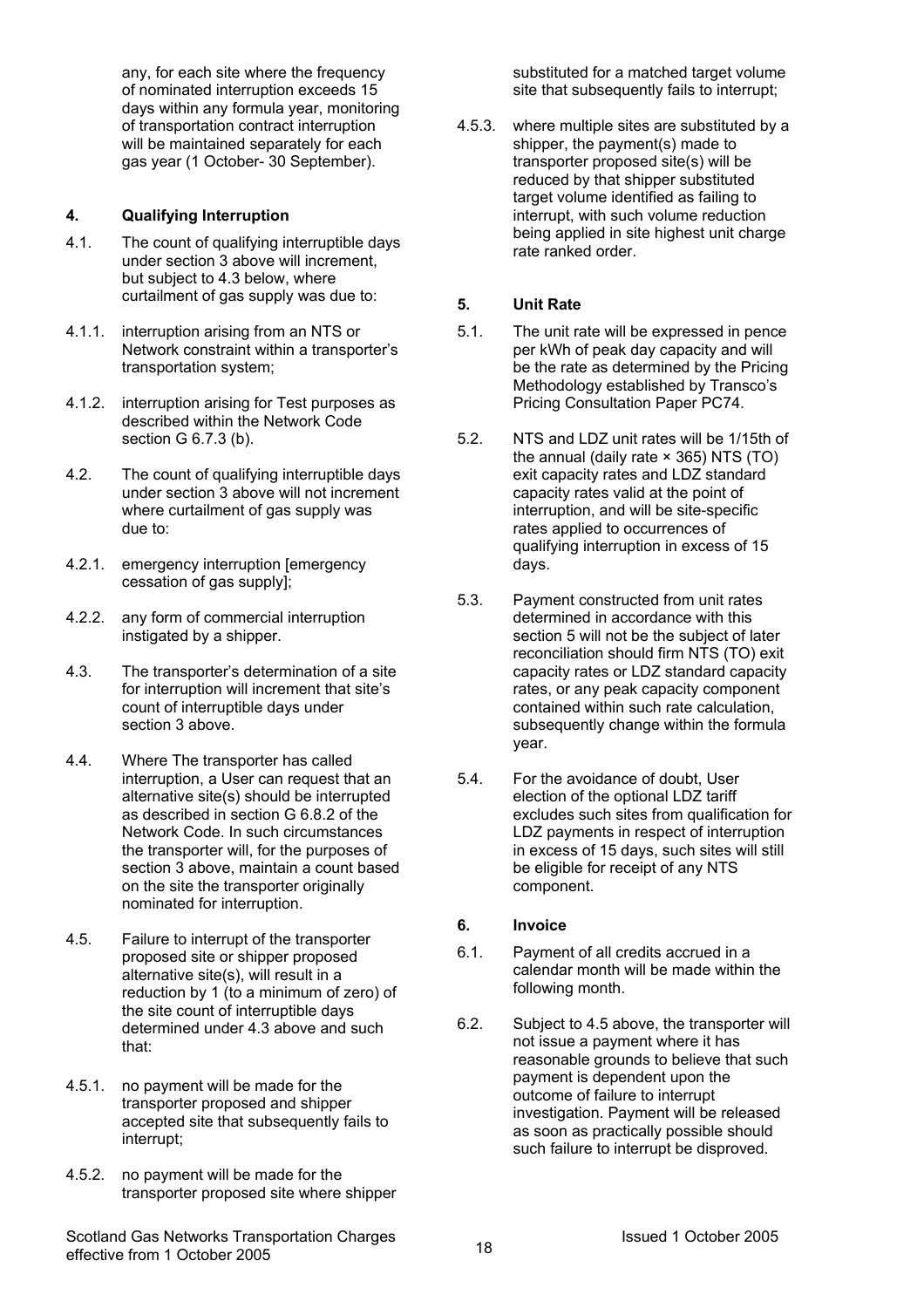any, for each site where the frequency of nominated interruption exceeds 15 days within any formula year, monitoring of transportation contract interruption will be maintained separately for each gas year (1 October- 30 September).

### **4. Qualifying Interruption**

- 4.1. The count of qualifying interruptible days under section 3 above will increment, but subject to 4.3 below, where curtailment of gas supply was due to:
- 4.1.1. interruption arising from an NTS or Network constraint within a transporter's transportation system;
- 4.1.2. interruption arising for Test purposes as described within the Network Code section G 6.7.3 (b).
- 4.2. The count of qualifying interruptible days under section 3 above will not increment where curtailment of gas supply was due to:
- 4.2.1. emergency interruption [emergency cessation of gas supply];
- 4.2.2. any form of commercial interruption instigated by a shipper.
- 4.3. The transporter's determination of a site for interruption will increment that site's count of interruptible days under section 3 above.
- 4.4. Where The transporter has called interruption, a User can request that an alternative site(s) should be interrupted as described in section G 6.8.2 of the Network Code. In such circumstances the transporter will, for the purposes of section 3 above, maintain a count based on the site the transporter originally nominated for interruption.
- 4.5. Failure to interrupt of the transporter proposed site or shipper proposed alternative site(s), will result in a reduction by 1 (to a minimum of zero) of the site count of interruptible days determined under 4.3 above and such that:
- 4.5.1. no payment will be made for the transporter proposed and shipper accepted site that subsequently fails to interrupt;
- 4.5.2. no payment will be made for the transporter proposed site where shipper

substituted for a matched target volume site that subsequently fails to interrupt;

4.5.3. where multiple sites are substituted by a shipper, the payment(s) made to transporter proposed site(s) will be reduced by that shipper substituted target volume identified as failing to interrupt, with such volume reduction being applied in site highest unit charge rate ranked order.

#### **5. Unit Rate**

- 5.1. The unit rate will be expressed in pence per kWh of peak day capacity and will be the rate as determined by the Pricing Methodology established by Transco's Pricing Consultation Paper PC74.
- 5.2. NTS and LDZ unit rates will be 1/15th of the annual (daily rate × 365) NTS (TO) exit capacity rates and LDZ standard capacity rates valid at the point of interruption, and will be site-specific rates applied to occurrences of qualifying interruption in excess of 15 days.
- 5.3. Payment constructed from unit rates determined in accordance with this section 5 will not be the subject of later reconciliation should firm NTS (TO) exit capacity rates or LDZ standard capacity rates, or any peak capacity component contained within such rate calculation, subsequently change within the formula year.
- 5.4. For the avoidance of doubt, User election of the optional LDZ tariff excludes such sites from qualification for LDZ payments in respect of interruption in excess of 15 days, such sites will still be eligible for receipt of any NTS component.

### **6. Invoice**

- 6.1. Payment of all credits accrued in a calendar month will be made within the following month.
- 6.2. Subject to 4.5 above, the transporter will not issue a payment where it has reasonable grounds to believe that such payment is dependent upon the outcome of failure to interrupt investigation. Payment will be released as soon as practically possible should such failure to interrupt be disproved.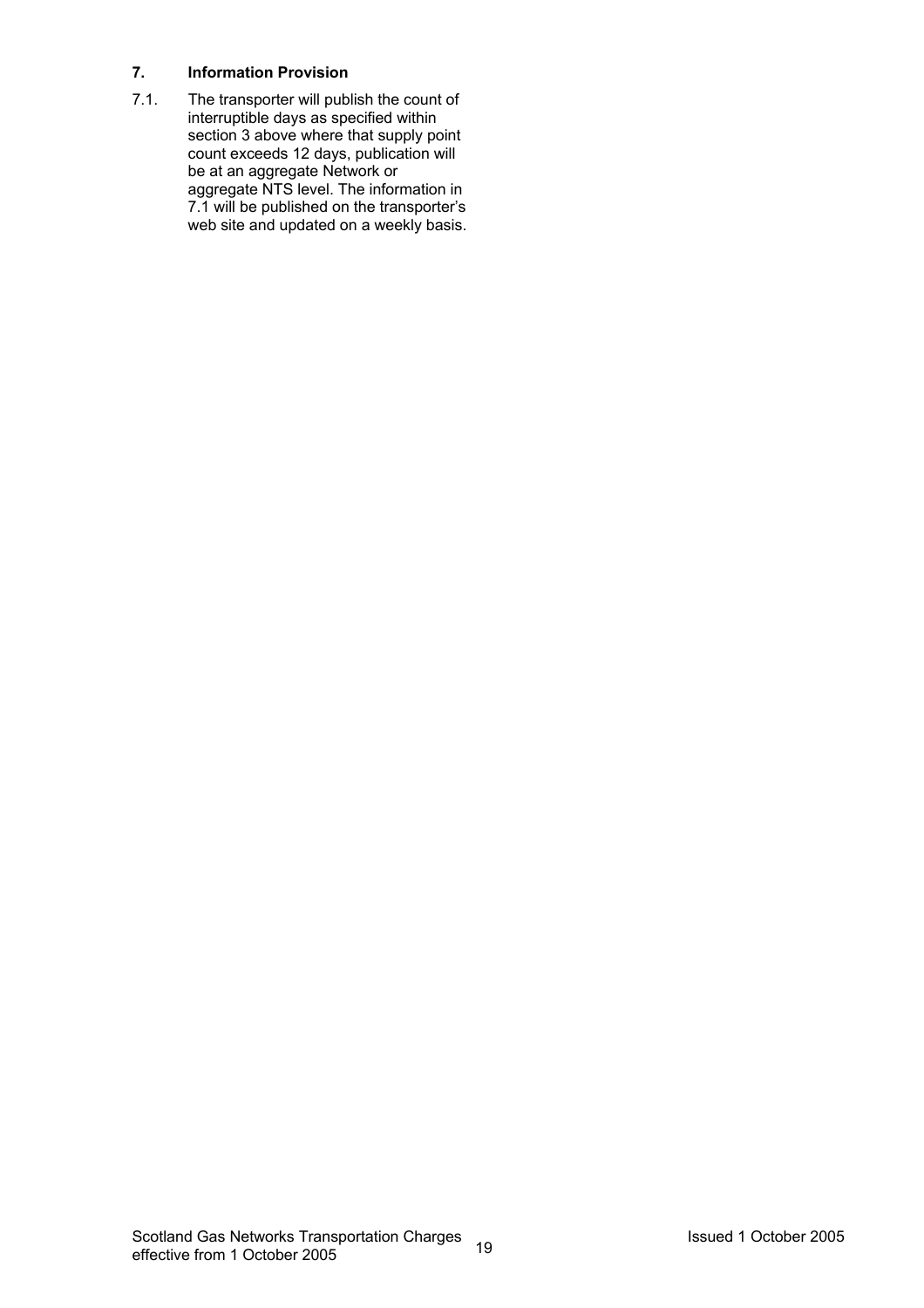### **7. Information Provision**

7.1. The transporter will publish the count of interruptible days as specified within section 3 above where that supply point count exceeds 12 days, publication will be at an aggregate Network or aggregate NTS level. The information in 7.1 will be published on the transporter's web site and updated on a weekly basis.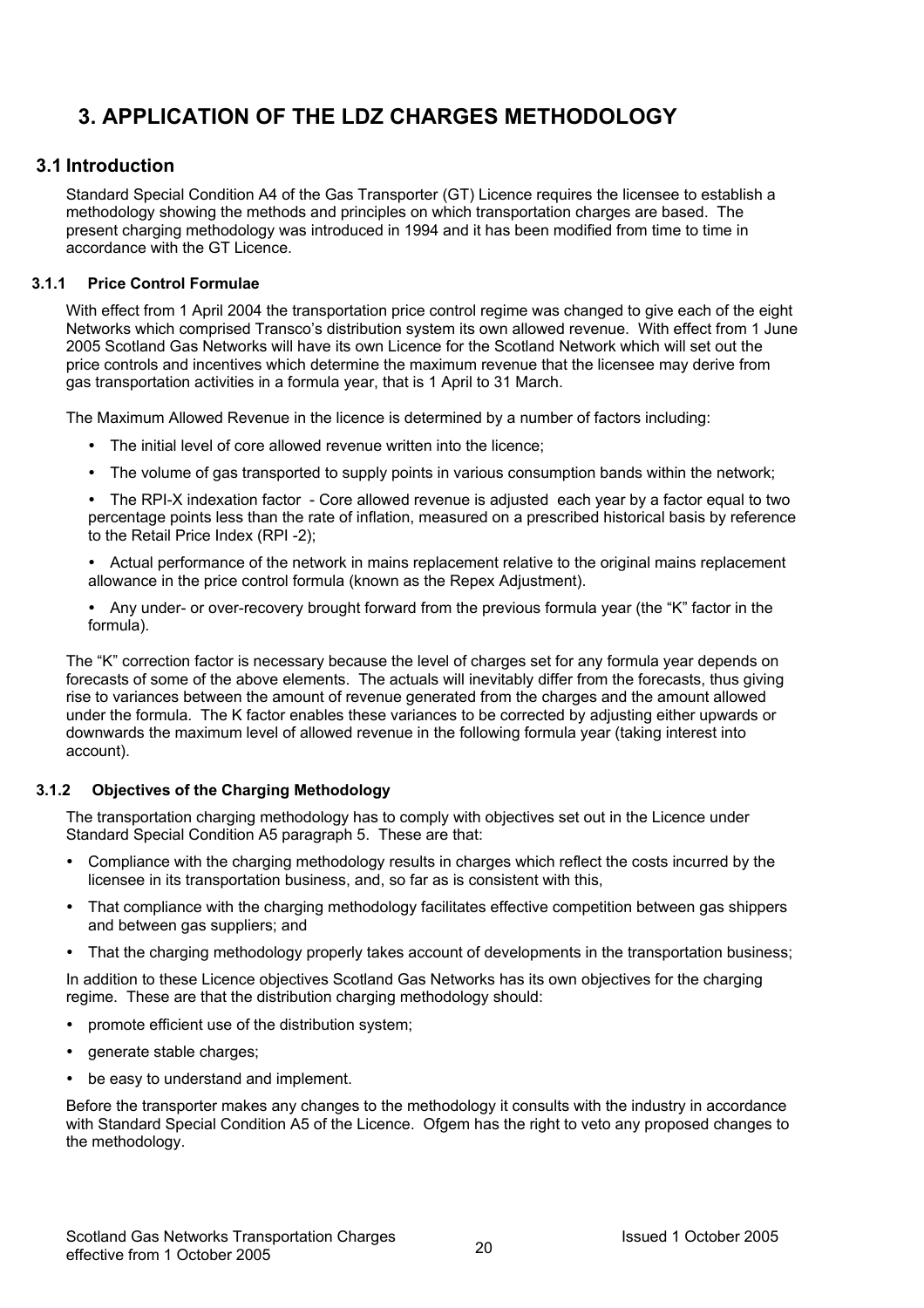## **3. APPLICATION OF THE LDZ CHARGES METHODOLOGY**

## **3.1 Introduction**

Standard Special Condition A4 of the Gas Transporter (GT) Licence requires the licensee to establish a methodology showing the methods and principles on which transportation charges are based. The present charging methodology was introduced in 1994 and it has been modified from time to time in accordance with the GT Licence.

#### **3.1.1 Price Control Formulae**

With effect from 1 April 2004 the transportation price control regime was changed to give each of the eight Networks which comprised Transco's distribution system its own allowed revenue. With effect from 1 June 2005 Scotland Gas Networks will have its own Licence for the Scotland Network which will set out the price controls and incentives which determine the maximum revenue that the licensee may derive from gas transportation activities in a formula year, that is 1 April to 31 March.

The Maximum Allowed Revenue in the licence is determined by a number of factors including:

- The initial level of core allowed revenue written into the licence;
- The volume of gas transported to supply points in various consumption bands within the network;

• The RPI-X indexation factor - Core allowed revenue is adjusted each year by a factor equal to two percentage points less than the rate of inflation, measured on a prescribed historical basis by reference to the Retail Price Index (RPI -2);

- Actual performance of the network in mains replacement relative to the original mains replacement allowance in the price control formula (known as the Repex Adjustment).
- Any under- or over-recovery brought forward from the previous formula year (the "K" factor in the formula).

The "K" correction factor is necessary because the level of charges set for any formula year depends on forecasts of some of the above elements. The actuals will inevitably differ from the forecasts, thus giving rise to variances between the amount of revenue generated from the charges and the amount allowed under the formula. The K factor enables these variances to be corrected by adjusting either upwards or downwards the maximum level of allowed revenue in the following formula year (taking interest into account).

#### **3.1.2 Objectives of the Charging Methodology**

The transportation charging methodology has to comply with objectives set out in the Licence under Standard Special Condition A5 paragraph 5. These are that:

- Compliance with the charging methodology results in charges which reflect the costs incurred by the licensee in its transportation business, and, so far as is consistent with this,
- That compliance with the charging methodology facilitates effective competition between gas shippers and between gas suppliers; and
- That the charging methodology properly takes account of developments in the transportation business;

In addition to these Licence objectives Scotland Gas Networks has its own objectives for the charging regime. These are that the distribution charging methodology should:

- promote efficient use of the distribution system;
- generate stable charges;
- be easy to understand and implement.

Before the transporter makes any changes to the methodology it consults with the industry in accordance with Standard Special Condition A5 of the Licence. Ofgem has the right to veto any proposed changes to the methodology.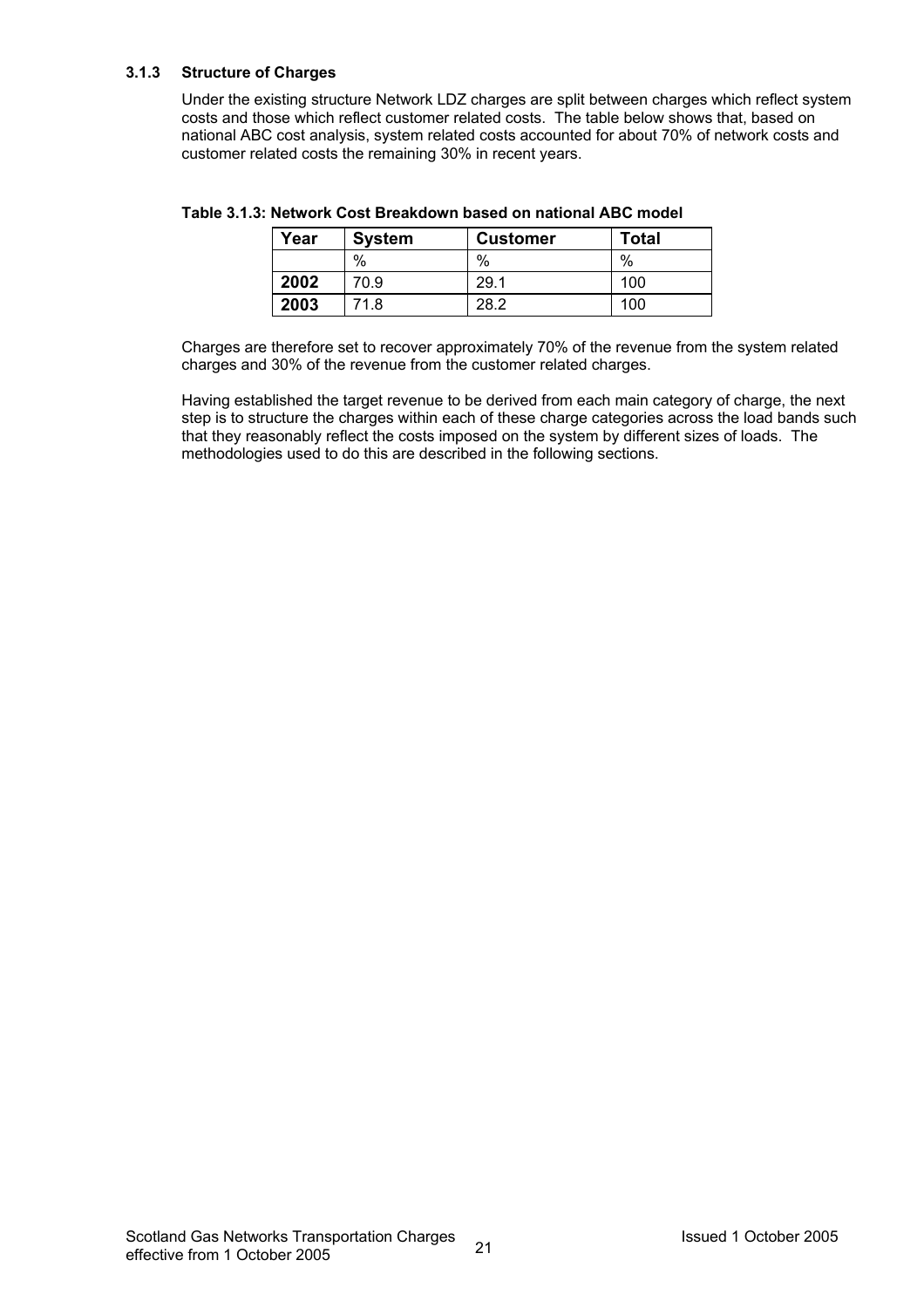#### **3.1.3 Structure of Charges**

Under the existing structure Network LDZ charges are split between charges which reflect system costs and those which reflect customer related costs. The table below shows that, based on national ABC cost analysis, system related costs accounted for about 70% of network costs and customer related costs the remaining 30% in recent years.

| Year | <b>System</b> | <b>Customer</b> | <b>Total</b> |
|------|---------------|-----------------|--------------|
|      | %             | %               | %            |
| 2002 | 70.9          | 29.1            | 100          |
| 2003 | 71.8          | 28.2            | 100          |

**Table 3.1.3: Network Cost Breakdown based on national ABC model** 

Charges are therefore set to recover approximately 70% of the revenue from the system related charges and 30% of the revenue from the customer related charges.

Having established the target revenue to be derived from each main category of charge, the next step is to structure the charges within each of these charge categories across the load bands such that they reasonably reflect the costs imposed on the system by different sizes of loads. The methodologies used to do this are described in the following sections.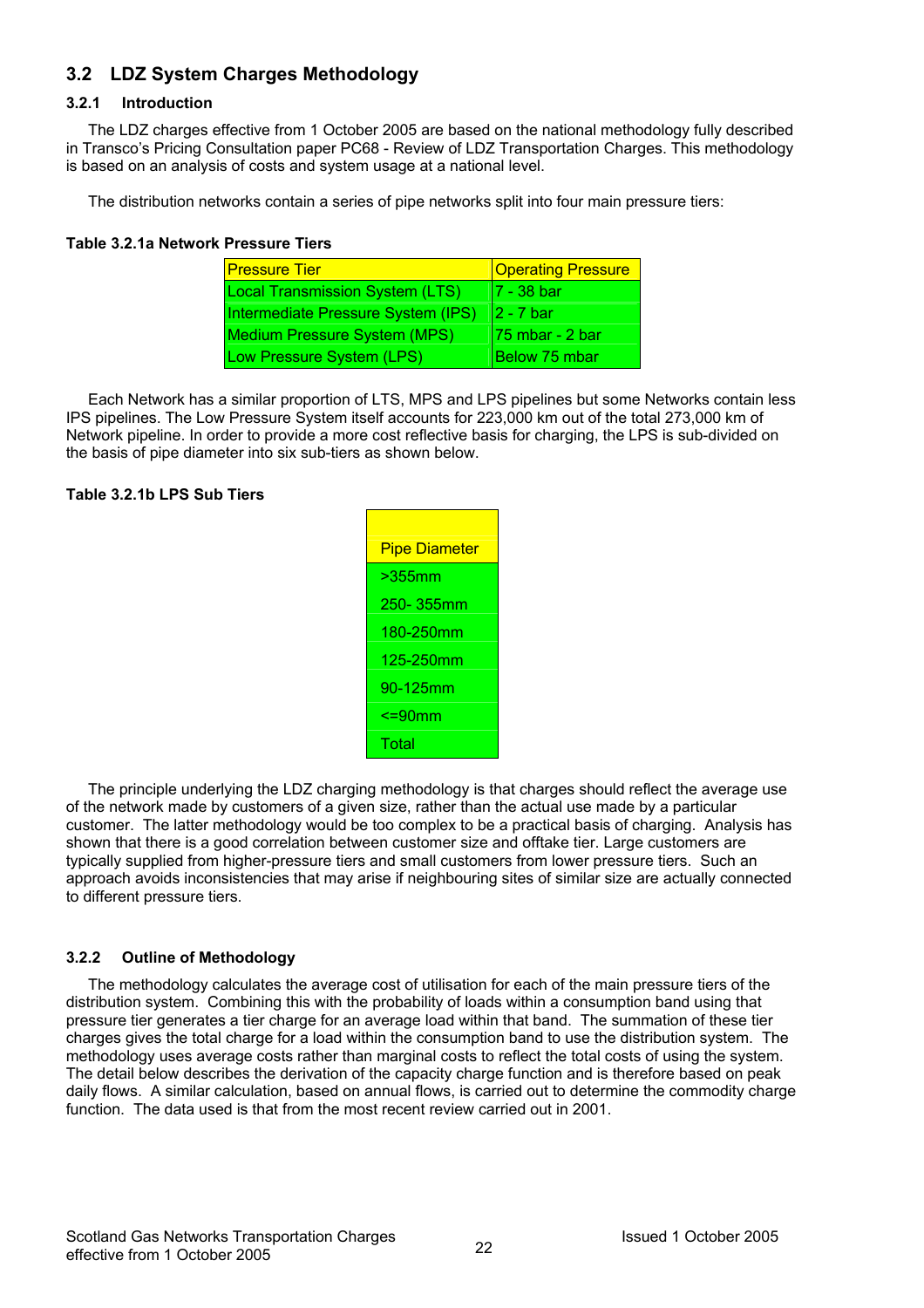## **3.2 LDZ System Charges Methodology**

#### **3.2.1 Introduction**

The LDZ charges effective from 1 October 2005 are based on the national methodology fully described in Transco's Pricing Consultation paper PC68 - Review of LDZ Transportation Charges. This methodology is based on an analysis of costs and system usage at a national level.

The distribution networks contain a series of pipe networks split into four main pressure tiers:

#### **Table 3.2.1a Network Pressure Tiers**

| <b>Pressure Tier</b>                   | <b>Operating Pressure</b> |
|----------------------------------------|---------------------------|
| <b>Local Transmission System (LTS)</b> | 7 - 38 bar                |
| Intermediate Pressure System (IPS)     | I2 - 7 bar                |
| <b>Medium Pressure System (MPS)</b>    | 75 mbar - 2 bar           |
| Low Pressure System (LPS)              | Below 75 mbar             |

Each Network has a similar proportion of LTS, MPS and LPS pipelines but some Networks contain less IPS pipelines. The Low Pressure System itself accounts for 223,000 km out of the total 273,000 km of Network pipeline. In order to provide a more cost reflective basis for charging, the LPS is sub-divided on the basis of pipe diameter into six sub-tiers as shown below.

#### **Table 3.2.1b LPS Sub Tiers**

| <b>Pipe Diameter</b> |
|----------------------|
| >355mm               |
| 250-355mm            |
| 180-250mm            |
| 125-250mm            |
| 90-125mm             |
| <b>&lt;=90mm</b>     |
| Total                |

The principle underlying the LDZ charging methodology is that charges should reflect the average use of the network made by customers of a given size, rather than the actual use made by a particular customer. The latter methodology would be too complex to be a practical basis of charging. Analysis has shown that there is a good correlation between customer size and offtake tier. Large customers are typically supplied from higher-pressure tiers and small customers from lower pressure tiers. Such an approach avoids inconsistencies that may arise if neighbouring sites of similar size are actually connected to different pressure tiers.

#### **3.2.2 Outline of Methodology**

The methodology calculates the average cost of utilisation for each of the main pressure tiers of the distribution system. Combining this with the probability of loads within a consumption band using that pressure tier generates a tier charge for an average load within that band. The summation of these tier charges gives the total charge for a load within the consumption band to use the distribution system. The methodology uses average costs rather than marginal costs to reflect the total costs of using the system. The detail below describes the derivation of the capacity charge function and is therefore based on peak daily flows. A similar calculation, based on annual flows, is carried out to determine the commodity charge function. The data used is that from the most recent review carried out in 2001.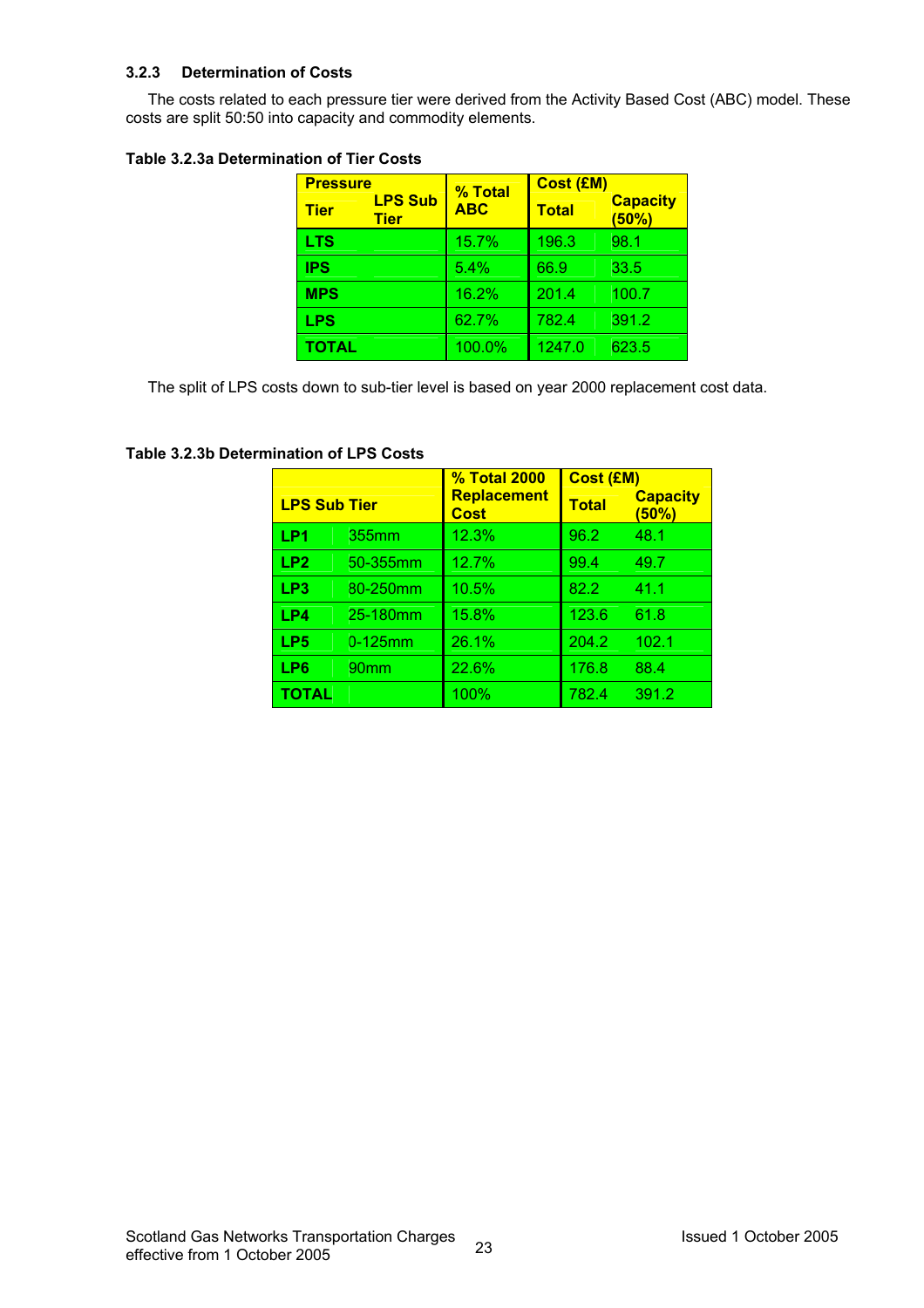#### **3.2.3 Determination of Costs**

The costs related to each pressure tier were derived from the Activity Based Cost (ABC) model. These costs are split 50:50 into capacity and commodity elements.

#### **Table 3.2.3a Determination of Tier Costs**

| <b>Pressure</b> |                               | % Total    | <b>Cost (£M)</b> |                          |  |  |  |
|-----------------|-------------------------------|------------|------------------|--------------------------|--|--|--|
| <b>Tier</b>     | <b>LPS Sub</b><br><b>Tier</b> | <b>ABC</b> | <b>Total</b>     | <b>Capacity</b><br>(50%) |  |  |  |
| <b>LTS</b>      |                               | 15.7%      | 196.3            | 98.1                     |  |  |  |
| <b>IPS</b>      |                               | 5.4%       | 66.9             | 33.5                     |  |  |  |
| <b>MPS</b>      |                               | 16.2%      | 201.4            | 100.7                    |  |  |  |
| <b>LPS</b>      |                               | 62.7%      | 782.4            | 391.2                    |  |  |  |
| <b>TOTAL</b>    |                               | 100.0%     | 1247.0           | 623.5                    |  |  |  |

The split of LPS costs down to sub-tier level is based on year 2000 replacement cost data.

|                     |            | <b>% Total 2000</b>        | Cost (£M)    |                          |  |  |
|---------------------|------------|----------------------------|--------------|--------------------------|--|--|
| <b>LPS Sub Tier</b> |            | Replacement<br><b>Cost</b> | <b>Total</b> | <b>Capacity</b><br>(50%) |  |  |
| LP1                 | 355mm      | 12.3%                      | 96.2         | 48.1                     |  |  |
| LP <sub>2</sub>     | 50-355mm   | 12.7%                      | 99.4         | 49.7                     |  |  |
| LP3                 | 80-250mm   | 10.5%                      | 82.2         | 41.1                     |  |  |
| LP4                 | 25-180mm   | 15.8%                      | 123.6        | 61.8                     |  |  |
| LP <sub>5</sub>     | $0-125$ mm | 26.1%                      | 204.2        | 102.1                    |  |  |
| LP6                 | 90mm       | 22.6%                      | 176.8        | 88.4                     |  |  |
| TOTAL               |            | 100%                       | 782.4        | 391.2                    |  |  |

#### **Table 3.2.3b Determination of LPS Costs**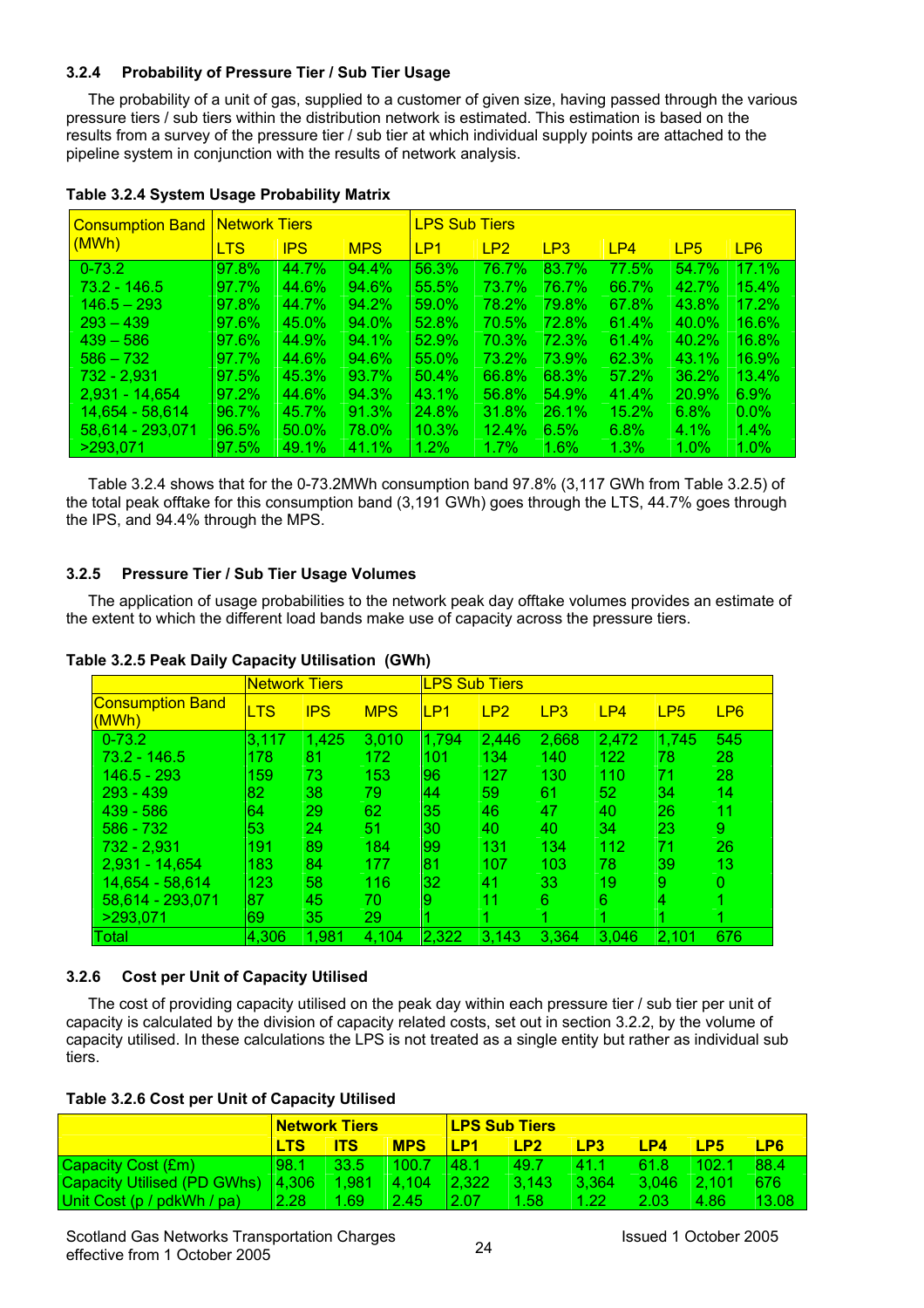#### **3.2.4 Probability of Pressure Tier / Sub Tier Usage**

The probability of a unit of gas, supplied to a customer of given size, having passed through the various pressure tiers / sub tiers within the distribution network is estimated. This estimation is based on the results from a survey of the pressure tier / sub tier at which individual supply points are attached to the pipeline system in conjunction with the results of network analysis.

| <b>Consumption Band</b> | <b>Network Tiers</b> |            |            | <b>LPS Sub Tiers</b> |         |         |       |              |                 |  |
|-------------------------|----------------------|------------|------------|----------------------|---------|---------|-------|--------------|-----------------|--|
| (MWh)                   | <b>LTS</b>           | <b>IPS</b> | <b>MPS</b> | LP <sub>1</sub>      | LP2     | LP3     | LP4   | LP5          | LP <sub>6</sub> |  |
| $0 - 73.2$              | 97.8%                | 44.7%      | 94.4%      | 56.3%                | 76.7%   | 83.7%   | 77.5% | 54.7%        | 17.1%           |  |
| $73.2 - 146.5$          | 97.7%                | 44.6%      | 94.6%      | 55.5%                | 73.7%   | 76.7%   | 66.7% | 42.7%        | 15.4%           |  |
| $146.5 - 293$           | 97.8%                | 44.7%      | $94.2\%$   | 59.0%                | 78.2%   | 79.8%   | 67.8% | 43.8%        | 17.2%           |  |
| $293 - 439$             | 97.6%                | 45.0%      | 94.0%      | 52.8%                | 70.5%   | 72.8%   | 61.4% | $40.0\%$     | 16.6%           |  |
| $439 - 586$             | 97.6%                | 44.9%      | $94.1\%$   | 52.9%                | 70.3%   | 72.3%   | 61.4% | 40.2%        | 16.8%           |  |
| $586 - 732$             | 97.7%                | 44.6%      | 94.6%      | 55.0%                | 73.2%   | 73.9%   | 62.3% | 43.1%        | 16.9%           |  |
| 732 - 2.931             | 97.5%                | 45.3%      | 93.7%      | 50.4%                | 66.8%   | 68.3%   | 57.2% | 36.2%        | $13.4\%$        |  |
| $2.931 - 14.654$        | $97.2\%$             | 44.6%      | 94.3%      | 43.1%                | 56.8%   | 54.9%   | 41.4% | <b>20.9%</b> | $6.9\%$         |  |
| 14.654 - 58.614         | 96.7%                | 45.7%      | 91.3%      | 24.8%                | 31.8%   | 26.1%   | 15.2% | 6.8%         | $0.0\%$         |  |
| 58,614 - 293,071        | 96.5%                | $50.0\%$   | 78.0%      | 10.3%                | 12.4%   | 6.5%    | 6.8%  | $4.1\%$      | $1.4\%$         |  |
| >293.071                | 97.5%                | 49.1%      | 41.1%      | 1.2%                 | $1.7\%$ | $1.6\%$ | 1.3%  | $1.0\%$      | $1.0\%$         |  |

#### **Table 3.2.4 System Usage Probability Matrix**

Table 3.2.4 shows that for the 0-73.2MWh consumption band 97.8% (3,117 GWh from Table 3.2.5) of the total peak offtake for this consumption band (3,191 GWh) goes through the LTS, 44.7% goes through the IPS, and 94.4% through the MPS.

#### **3.2.5 Pressure Tier / Sub Tier Usage Volumes**

The application of usage probabilities to the network peak day offtake volumes provides an estimate of the extent to which the different load bands make use of capacity across the pressure tiers.

|                                  | <b>Network Tiers</b> |            |            |       | <b>LPS Sub Tiers</b> |                 |       |                 |                 |  |  |  |
|----------------------------------|----------------------|------------|------------|-------|----------------------|-----------------|-------|-----------------|-----------------|--|--|--|
| <b>Consumption Band</b><br>(MWh) | LTS                  | <b>IPS</b> | <b>MPS</b> | LP1   | LP2                  | LP <sub>3</sub> | LP4   | LP <sub>5</sub> | LP <sub>6</sub> |  |  |  |
| $0 - 73.2$                       | 3.117                | 1,425      | 3,010      | 1,794 | 2.446                | 2,668           | 2,472 | 1,745           | 545             |  |  |  |
| $73.2 - 146.5$                   | 178                  | 81         | 172        | 101   | 134                  | 140             | 122   | 78              | 28              |  |  |  |
| 146.5 - 293                      | 159                  | 73         | 153        | 96    | 127                  | 130             | 110   | 71              | 28              |  |  |  |
| $293 - 439$                      | 82                   | 38         | 79.        | 44    | 59                   | 61              | 52    | 34              | 14              |  |  |  |
| $439 - 586$                      | 64                   | 29         | 62         | 35    | 46                   | 47              | 40    | 26              | 11              |  |  |  |
| $586 - 732$                      | 53                   | 24         | 51         | 30    | 40                   | 40              | 34    | 23              | 9               |  |  |  |
| 732 - 2,931                      | 191                  | 89         | 184        | 99    | 131                  | 134             | 112   | 71              | 26              |  |  |  |
| $2,931 - 14,654$                 | 183                  | 84         | 177        | 81    | 107                  | 103             | 78    | 39              | 13              |  |  |  |
| 14.654 - 58.614                  | 123                  | 58         | 116        | 32    | 41                   | 33              | 19    | 9               | 0               |  |  |  |
| 58,614 - 293,071                 | 87                   | 45         | 70         | 9     | 11                   | 6               | 6     | 4               |                 |  |  |  |
| >293.071                         | 69                   | 35         | 29         |       |                      |                 |       |                 |                 |  |  |  |
| Total                            | 4.306                | 1,981      | 4.104      | 2,322 | 3,143                | 3.364           | 3.046 | 2,101           | 676             |  |  |  |

#### **Table 3.2.5 Peak Daily Capacity Utilisation (GWh)**

#### **3.2.6 Cost per Unit of Capacity Utilised**

The cost of providing capacity utilised on the peak day within each pressure tier / sub tier per unit of capacity is calculated by the division of capacity related costs, set out in section 3.2.2, by the volume of capacity utilised. In these calculations the LPS is not treated as a single entity but rather as individual sub tiers.

|                                             | <u> Network Tiers</u> |            |            | <b>LPS Sub Tiers</b> |       |       |               |       |       |
|---------------------------------------------|-----------------------|------------|------------|----------------------|-------|-------|---------------|-------|-------|
|                                             | LTS                   | <b>ITS</b> | <b>MPS</b> | <u>IP1</u>           | IP2   | LP3   | LP4           | I P5  | LP6   |
| Capacity Cost (£m)                          | 98.1                  | 33.5       | 100.7      | 148.1                | 49.7  | 411   | 61.8          | 102.1 | 88.4  |
| Capacity Utilised (PD GWhs)   4,306   1,981 |                       |            | $-4.104$   | 12.322               | 3.143 | 3.364 | $3.046$ 2.101 |       | 676   |
| Unit Cost (p / pdkWh / pa)                  | 12.28                 | 1.69       | 2.45       | 2.07                 | 1.58  | 1.22  | 2.03          | 4.86  | 13.08 |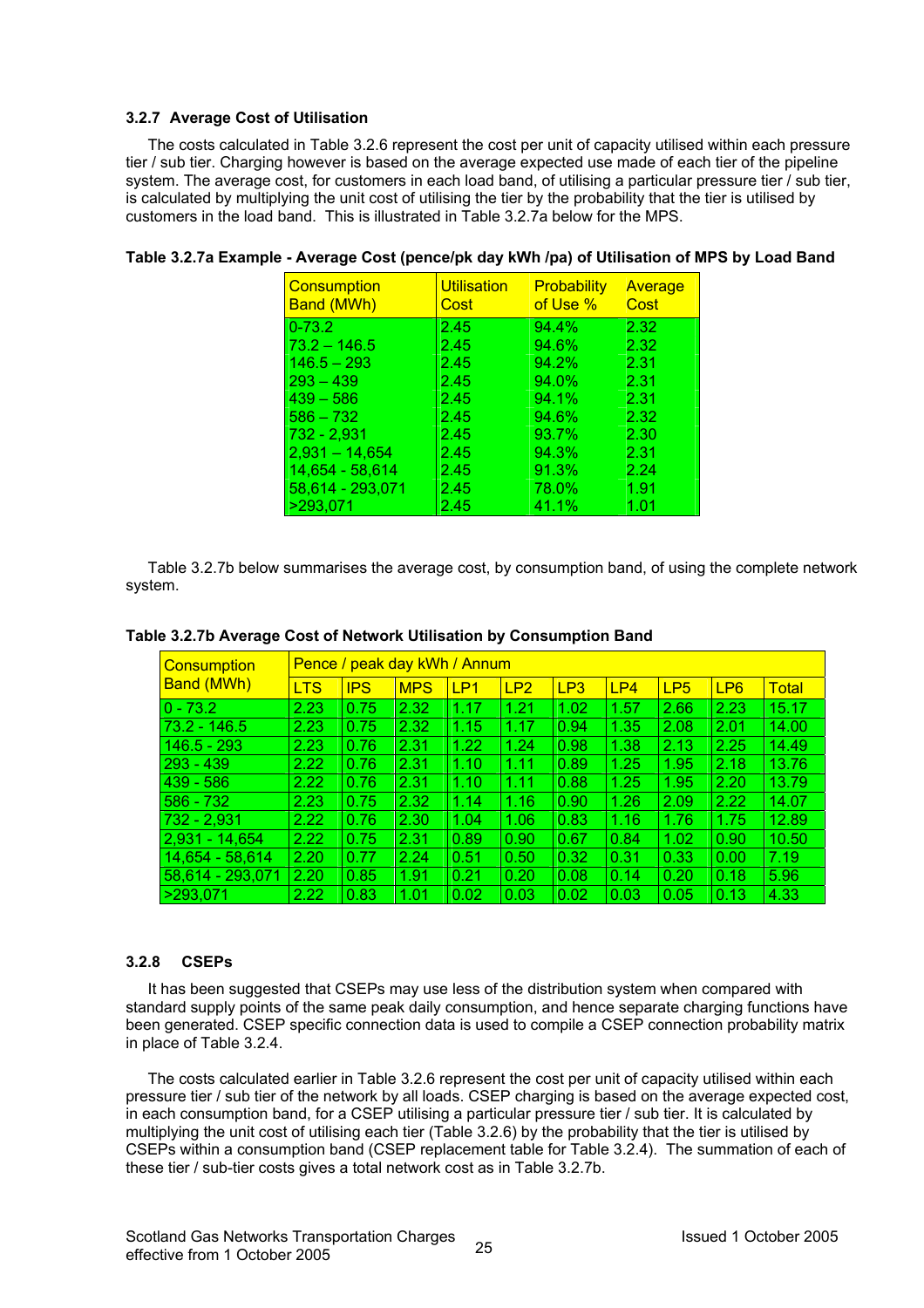#### **3.2.7 Average Cost of Utilisation**

The costs calculated in Table 3.2.6 represent the cost per unit of capacity utilised within each pressure tier / sub tier. Charging however is based on the average expected use made of each tier of the pipeline system. The average cost, for customers in each load band, of utilising a particular pressure tier / sub tier, is calculated by multiplying the unit cost of utilising the tier by the probability that the tier is utilised by customers in the load band. This is illustrated in Table 3.2.7a below for the MPS.

| Consumption<br><b>Band (MWh)</b> | <b>Utilisation</b><br>Cost | <b>Probability</b><br>of Use % | Average<br>Cost |
|----------------------------------|----------------------------|--------------------------------|-----------------|
| $0 - 73.2$                       | 2.45                       | 94.4%                          | 2.32            |
| $73.2 - 146.5$                   | 2.45                       | 94.6%                          | 2.32            |
| $146.5 - 293$                    | 2.45                       | 94.2%                          | 2.31            |
| $293 - 439$                      | 2.45                       | 94.0%                          | 2.31            |
| $439 - 586$                      | 2.45                       | 94.1%                          | 2.31            |
| $586 - 732$                      | 2.45                       | 94.6%                          | 2.32            |
| $732 - 2,931$                    | 2.45                       | 93.7%                          | 2.30            |
| $2,931 - 14,654$                 | 2.45                       | 94.3%                          | 2.31            |
| 14,654 - 58,614                  | 2.45                       | 91.3%                          | 2.24            |
| 58,614 - 293,071                 | 2.45                       | 78.0%                          | 1.91            |
| >293,071                         | 2.45                       | 41.1%                          | 1.01            |

#### **Table 3.2.7a Example - Average Cost (pence/pk day kWh /pa) of Utilisation of MPS by Load Band**

Table 3.2.7b below summarises the average cost, by consumption band, of using the complete network system.

| <b>Consumption</b><br><b>Band (MWh)</b> | Pence / peak day kWh / Annum |            |            |      |      |      |      |                 |                 |              |  |  |
|-----------------------------------------|------------------------------|------------|------------|------|------|------|------|-----------------|-----------------|--------------|--|--|
|                                         | <b>LTS</b>                   | <b>IPS</b> | <b>MPS</b> | LP1  | LP2  | LP3  | LP4  | LP <sub>5</sub> | LP <sub>6</sub> | <b>Total</b> |  |  |
| $ 0 - 73.2 $                            | 2.23                         | 0.75       | 2.32       | 1.17 | 1.21 | 1.02 | 1.57 | 2.66            | 2.23            | 15.17        |  |  |
| $73.2 - 146.5$                          | 2.23                         | 0.75       | 2.32       | 1.15 | 1.17 | 0.94 | 1.35 | 2.08            | 2.01            | 14.00        |  |  |
| $146.5 - 293$                           | 2.23                         | 0.76       | 2.31       | 1.22 | 1.24 | 0.98 | 1.38 | 2.13            | 2.25            | 14.49        |  |  |
| 293 - 439                               | 2.22                         | 0.76       | 2.31       | 1.10 | 1.11 | 0.89 | 1.25 | 1.95            | 2.18            | 13.76        |  |  |
| $439 - 586$                             | 2.22                         | 0.76       | 2.31       | 1.10 | 1.11 | 0.88 | 1.25 | 1.95            | 2.20            | 13.79        |  |  |
| $586 - 732$                             | 2.23                         | 0.75       | 2.32       | 1.14 | 1.16 | 0.90 | 1.26 | 2.09            | 2.22            | 14.07        |  |  |
| $732 - 2,931$                           | 2.22                         | 0.76       | 2.30       | 1.04 | 1.06 | 0.83 | 1.16 | 1.76            | 1.75            | 12.89        |  |  |
| 2.931 - 14.654                          | 2.22                         | 0.75       | 2.31       | 0.89 | 0.90 | 0.67 | 0.84 | 1.02            | 0.90            | 10.50        |  |  |
| 14,654 - 58,614                         | 2.20                         | 0.77       | 2.24       | 0.51 | 0.50 | 0.32 | 0.31 | 0.33            | 0.00            | 7.19         |  |  |
| 58,614 - 293,071                        | 2.20                         | 0.85       | 1.91       | 0.21 | 0.20 | 0.08 | 0.14 | 0.20            | 0.18            | 5.96         |  |  |
| >293.071                                | 2.22                         | 0.83       | 1.01       | 0.02 | 0.03 | 0.02 | 0.03 | 0.05            | 0.13            | 4.33         |  |  |

#### **Table 3.2.7b Average Cost of Network Utilisation by Consumption Band**

#### **3.2.8 CSEPs**

It has been suggested that CSEPs may use less of the distribution system when compared with standard supply points of the same peak daily consumption, and hence separate charging functions have been generated. CSEP specific connection data is used to compile a CSEP connection probability matrix in place of Table 3.2.4.

The costs calculated earlier in Table 3.2.6 represent the cost per unit of capacity utilised within each pressure tier / sub tier of the network by all loads. CSEP charging is based on the average expected cost, in each consumption band, for a CSEP utilising a particular pressure tier / sub tier. It is calculated by multiplying the unit cost of utilising each tier (Table 3.2.6) by the probability that the tier is utilised by CSEPs within a consumption band (CSEP replacement table for Table 3.2.4). The summation of each of these tier / sub-tier costs gives a total network cost as in Table 3.2.7b.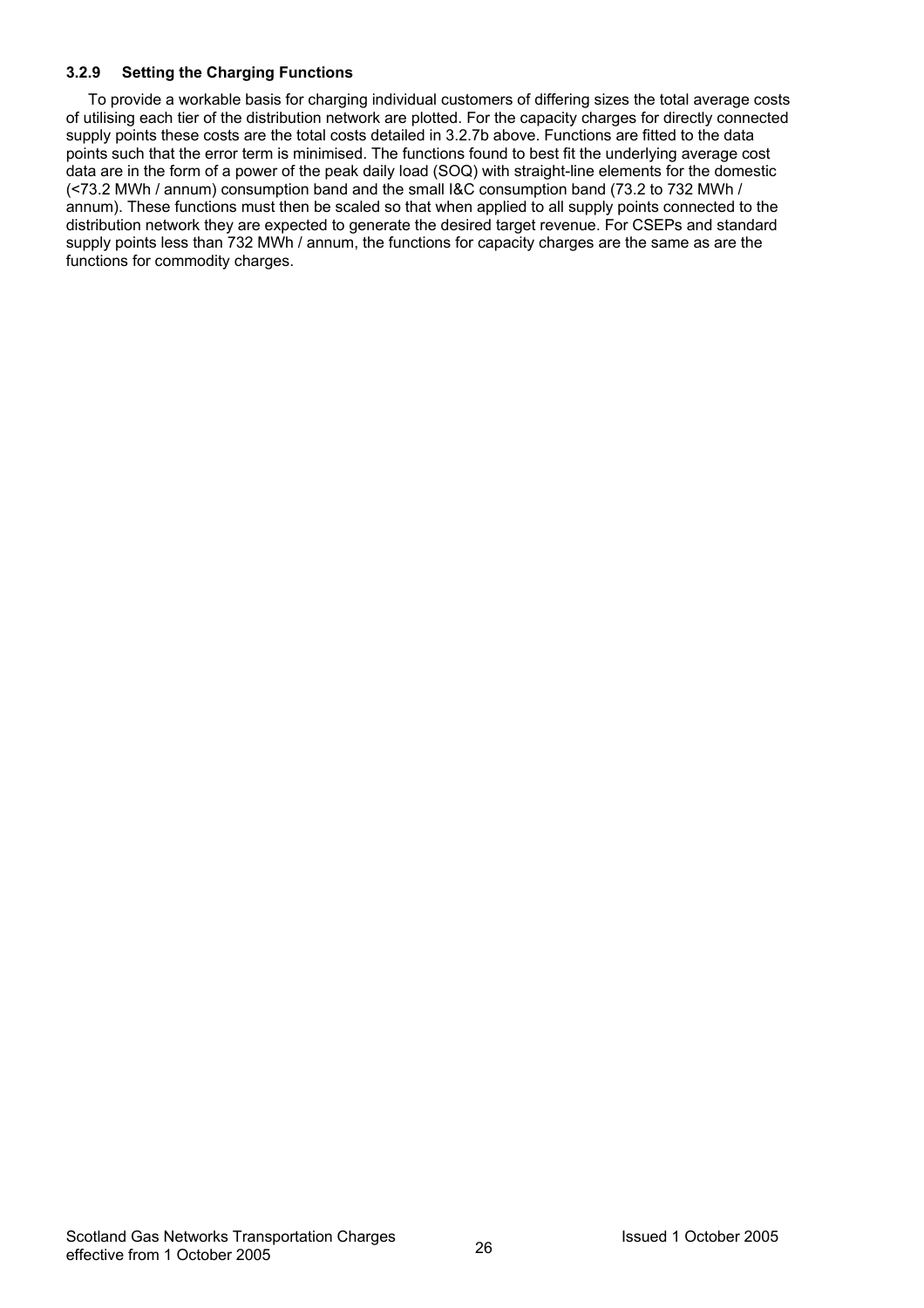### **3.2.9 Setting the Charging Functions**

To provide a workable basis for charging individual customers of differing sizes the total average costs of utilising each tier of the distribution network are plotted. For the capacity charges for directly connected supply points these costs are the total costs detailed in 3.2.7b above. Functions are fitted to the data points such that the error term is minimised. The functions found to best fit the underlying average cost data are in the form of a power of the peak daily load (SOQ) with straight-line elements for the domestic (<73.2 MWh / annum) consumption band and the small I&C consumption band (73.2 to 732 MWh / annum). These functions must then be scaled so that when applied to all supply points connected to the distribution network they are expected to generate the desired target revenue. For CSEPs and standard supply points less than 732 MWh / annum, the functions for capacity charges are the same as are the functions for commodity charges.